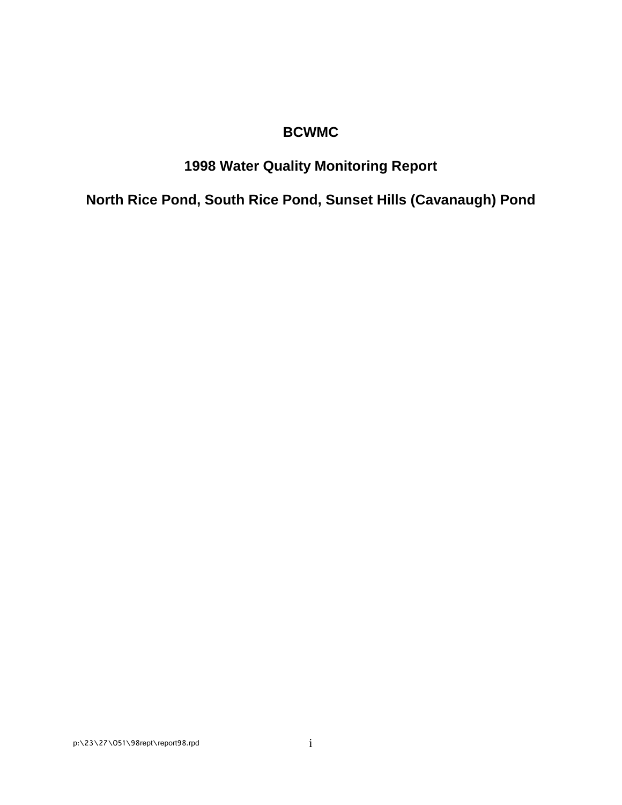## **BCWMC**

## **1998 Water Quality Monitoring Report**

**North Rice Pond, South Rice Pond, Sunset Hills (Cavanaugh) Pond**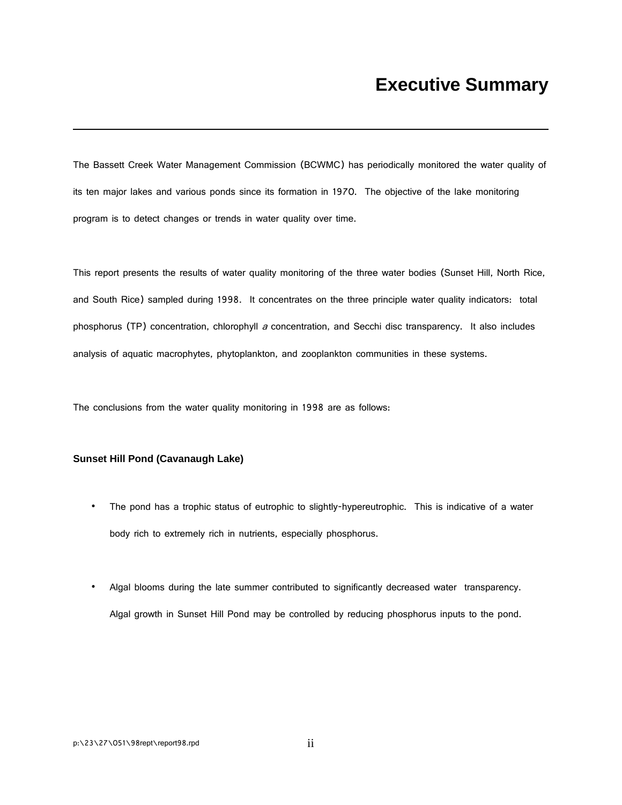The Bassett Creek Water Management Commission (BCWMC) has periodically monitored the water quality of its ten major lakes and various ponds since its formation in 1970. The objective of the lake monitoring program is to detect changes or trends in water quality over time.

This report presents the results of water quality monitoring of the three water bodies (Sunset Hill, North Rice, and South Rice) sampled during 1998. It concentrates on the three principle water quality indicators: total phosphorus (TP) concentration, chlorophyll  $a$  concentration, and Secchi disc transparency. It also includes analysis of aquatic macrophytes, phytoplankton, and zooplankton communities in these systems.

The conclusions from the water quality monitoring in 1998 are as follows:

#### **Sunset Hill Pond (Cavanaugh Lake)**

- The pond has a trophic status of eutrophic to slightly-hypereutrophic. This is indicative of a water body rich to extremely rich in nutrients, especially phosphorus.
- Algal blooms during the late summer contributed to significantly decreased water transparency. Algal growth in Sunset Hill Pond may be controlled by reducing phosphorus inputs to the pond.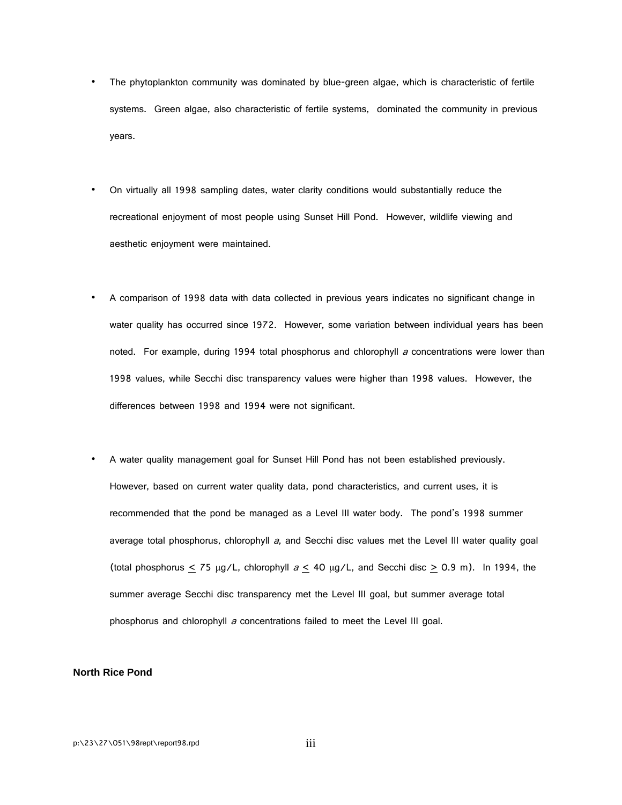- The phytoplankton community was dominated by blue-green algae, which is characteristic of fertile systems. Green algae, also characteristic of fertile systems, dominated the community in previous years.
- On virtually all 1998 sampling dates, water clarity conditions would substantially reduce the recreational enjoyment of most people using Sunset Hill Pond. However, wildlife viewing and aesthetic enjoyment were maintained.
- A comparison of 1998 data with data collected in previous years indicates no significant change in water quality has occurred since 1972. However, some variation between individual years has been noted. For example, during 1994 total phosphorus and chlorophyll a concentrations were lower than 1998 values, while Secchi disc transparency values were higher than 1998 values. However, the differences between 1998 and 1994 were not significant.

• A water quality management goal for Sunset Hill Pond has not been established previously. However, based on current water quality data, pond characteristics, and current uses, it is recommended that the pond be managed as a Level III water body. The pond's 1998 summer average total phosphorus, chlorophyll a, and Secchi disc values met the Level III water quality goal (total phosphorus  $\leq$  75 μg/L, chlorophyll  $a \leq 40$  μg/L, and Secchi disc  $\geq$  0.9 m). In 1994, the summer average Secchi disc transparency met the Level III goal, but summer average total phosphorus and chlorophyll  $a$  concentrations failed to meet the Level III goal.

#### **North Rice Pond**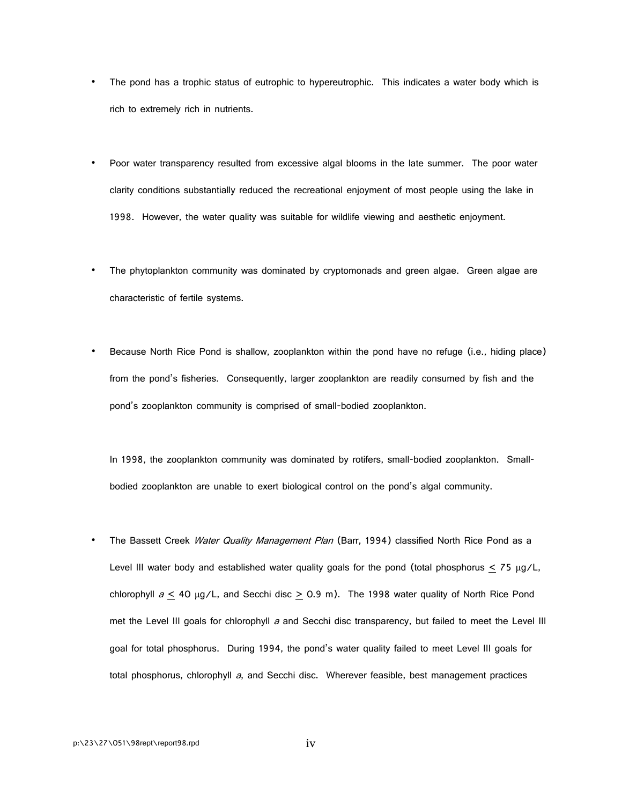- The pond has a trophic status of eutrophic to hypereutrophic. This indicates a water body which is rich to extremely rich in nutrients.
- Poor water transparency resulted from excessive algal blooms in the late summer. The poor water clarity conditions substantially reduced the recreational enjoyment of most people using the lake in 1998. However, the water quality was suitable for wildlife viewing and aesthetic enjoyment.
- The phytoplankton community was dominated by cryptomonads and green algae. Green algae are characteristic of fertile systems.
- Because North Rice Pond is shallow, zooplankton within the pond have no refuge (i.e., hiding place) from the pond's fisheries. Consequently, larger zooplankton are readily consumed by fish and the pond's zooplankton community is comprised of small-bodied zooplankton.

In 1998, the zooplankton community was dominated by rotifers, small-bodied zooplankton. Smallbodied zooplankton are unable to exert biological control on the pond's algal community.

The Bassett Creek Water Quality Management Plan (Barr, 1994) classified North Rice Pond as a Level III water body and established water quality goals for the pond (total phosphorus  $\leq$  75 µg/L, chlorophyll  $a \leq 40$  µg/L, and Secchi disc  $\geq 0.9$  m). The 1998 water quality of North Rice Pond met the Level III goals for chlorophyll  $a$  and Secchi disc transparency, but failed to meet the Level III goal for total phosphorus. During 1994, the pond's water quality failed to meet Level III goals for total phosphorus, chlorophyll a, and Secchi disc. Wherever feasible, best management practices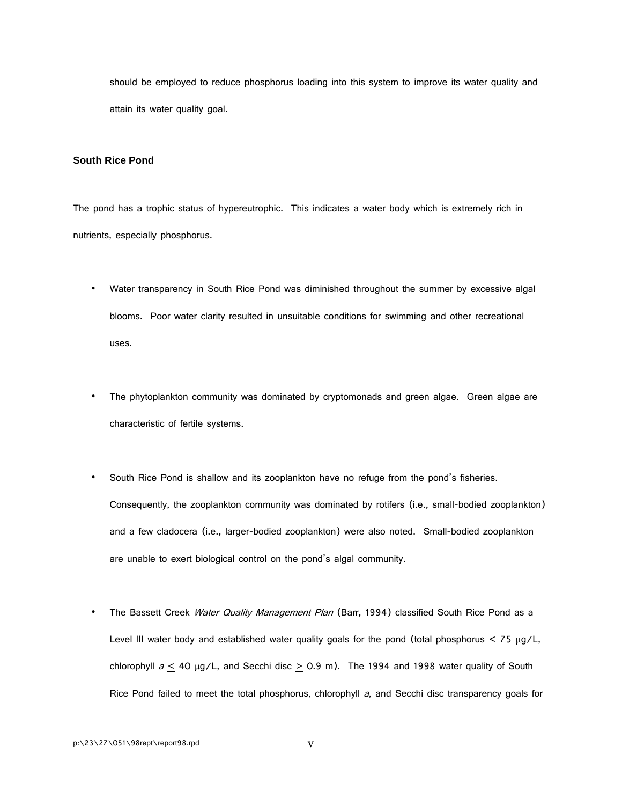should be employed to reduce phosphorus loading into this system to improve its water quality and attain its water quality goal.

#### **South Rice Pond**

The pond has a trophic status of hypereutrophic. This indicates a water body which is extremely rich in nutrients, especially phosphorus.

- Water transparency in South Rice Pond was diminished throughout the summer by excessive algal blooms. Poor water clarity resulted in unsuitable conditions for swimming and other recreational uses.
- The phytoplankton community was dominated by cryptomonads and green algae. Green algae are characteristic of fertile systems.
- South Rice Pond is shallow and its zooplankton have no refuge from the pond's fisheries. Consequently, the zooplankton community was dominated by rotifers (i.e., small-bodied zooplankton) and a few cladocera (i.e., larger-bodied zooplankton) were also noted. Small-bodied zooplankton are unable to exert biological control on the pond's algal community.
- The Bassett Creek Water Quality Management Plan (Barr, 1994) classified South Rice Pond as a Level III water body and established water quality goals for the pond (total phosphorus  $\leq$  75 µg/L, chlorophyll  $a \leq 40$  µg/L, and Secchi disc  $\geq 0.9$  m). The 1994 and 1998 water quality of South Rice Pond failed to meet the total phosphorus, chlorophyll  $a$ , and Secchi disc transparency goals for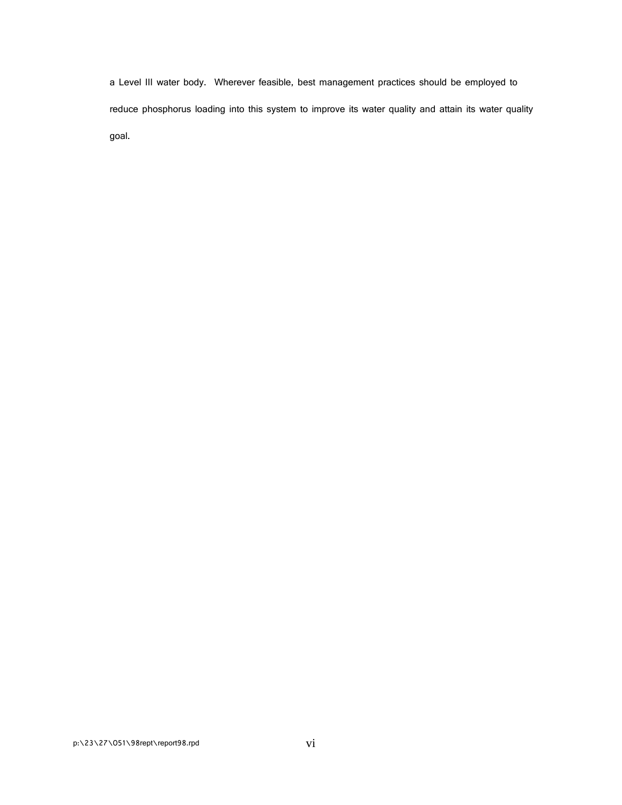a Level III water body. Wherever feasible, best management practices should be employed to reduce phosphorus loading into this system to improve its water quality and attain its water quality goal.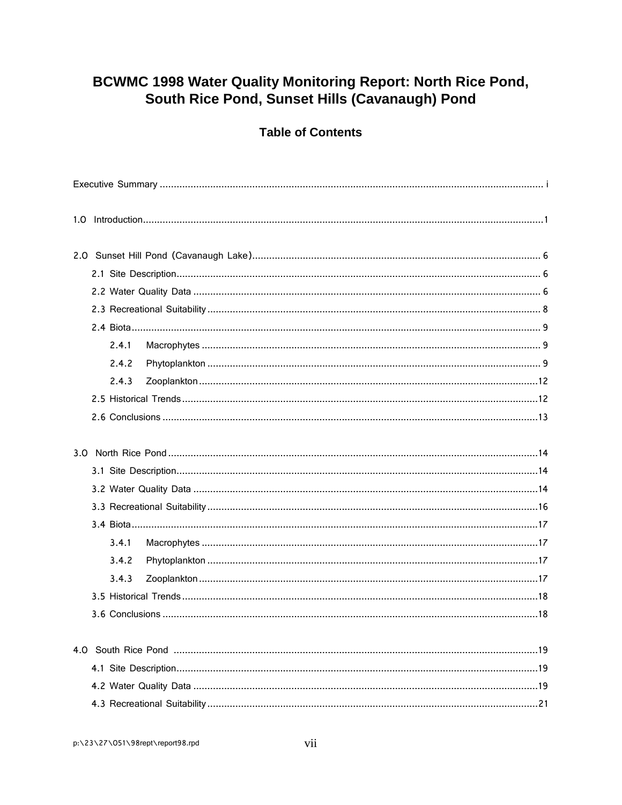## BCWMC 1998 Water Quality Monitoring Report: North Rice Pond, South Rice Pond, Sunset Hills (Cavanaugh) Pond

### **Table of Contents**

|  | 2.4.1 |  |
|--|-------|--|
|  | 2.4.2 |  |
|  | 2.4.3 |  |
|  |       |  |
|  |       |  |
|  |       |  |
|  |       |  |
|  |       |  |
|  |       |  |
|  |       |  |
|  | 3.4.1 |  |
|  | 3.4.2 |  |
|  | 3.4.3 |  |
|  |       |  |
|  |       |  |
|  |       |  |
|  |       |  |
|  |       |  |
|  |       |  |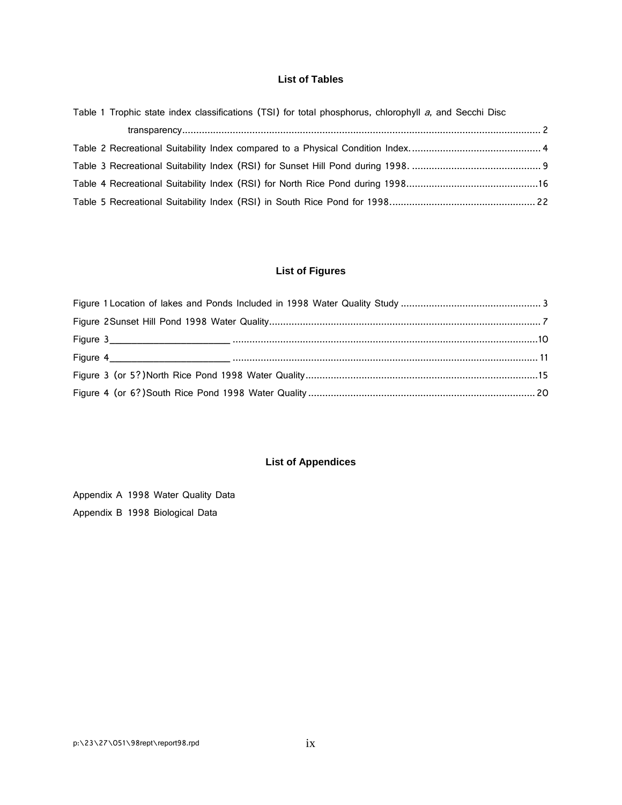#### **List of Tables**

| Table 1 Trophic state index classifications (TSI) for total phosphorus, chlorophyll a, and Secchi Disc |  |  |
|--------------------------------------------------------------------------------------------------------|--|--|
|                                                                                                        |  |  |
|                                                                                                        |  |  |
|                                                                                                        |  |  |
|                                                                                                        |  |  |
|                                                                                                        |  |  |

### **List of Figures**

### **List of Appendices**

Appendix A 1998 Water Quality Data Appendix B 1998 Biological Data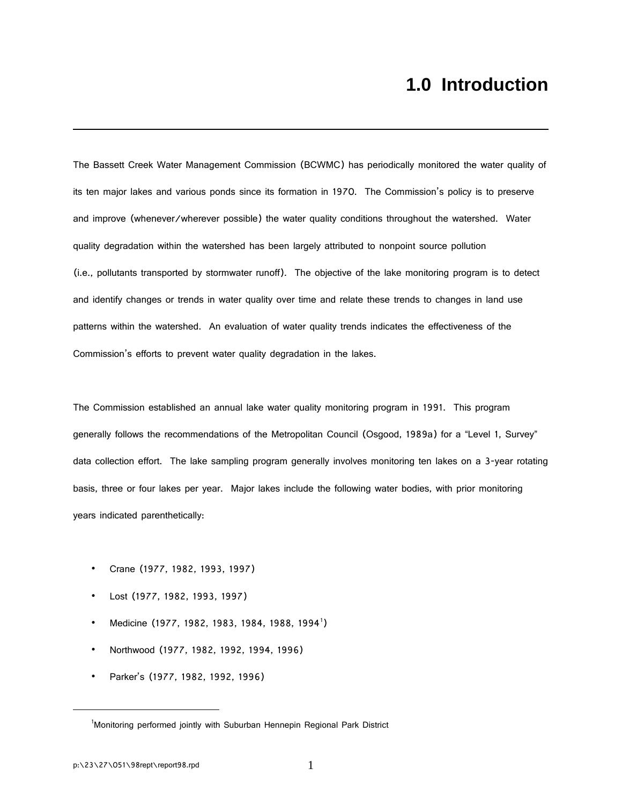## **1.0 Introduction**

The Bassett Creek Water Management Commission (BCWMC) has periodically monitored the water quality of its ten major lakes and various ponds since its formation in 1970. The Commission's policy is to preserve and improve (whenever/wherever possible) the water quality conditions throughout the watershed. Water quality degradation within the watershed has been largely attributed to nonpoint source pollution (i.e., pollutants transported by stormwater runoff). The objective of the lake monitoring program is to detect and identify changes or trends in water quality over time and relate these trends to changes in land use patterns within the watershed. An evaluation of water quality trends indicates the effectiveness of the Commission's efforts to prevent water quality degradation in the lakes.

The Commission established an annual lake water quality monitoring program in 1991. This program generally follows the recommendations of the Metropolitan Council (Osgood, 1989a) for a "Level 1, Survey" data collection effort. The lake sampling program generally involves monitoring ten lakes on a 3-year rotating basis, three or four lakes per year. Major lakes include the following water bodies, with prior monitoring years indicated parenthetically:

- Crane (1977, 1982, 1993, 1997)
- Lost (1977, 1982, 1993, 1997)
- Medicine ([1](#page-9-0)977, 1982, 1983, 1984, 1988, 1994<sup>1</sup>)
- Northwood (1977, 1982, 1992, 1994, 1996)
- Parker's (1977, 1982, 1992, 1996)

<span id="page-9-0"></span> $\overline{a}$ 

<sup>&</sup>lt;sup>1</sup>Monitoring performed jointly with Suburban Hennepin Regional Park District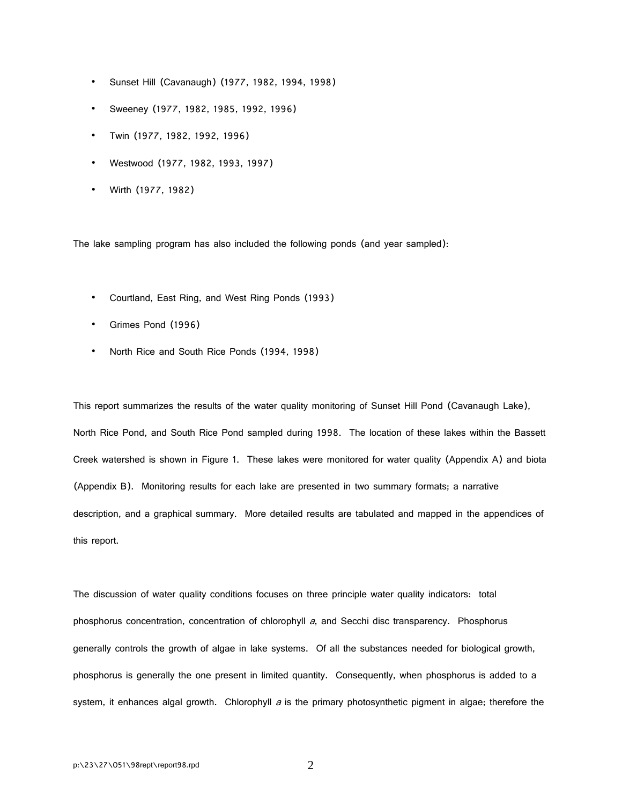- Sunset Hill (Cavanaugh) (1977, 1982, 1994, 1998)
- Sweeney (1977, 1982, 1985, 1992, 1996)
- Twin (1977, 1982, 1992, 1996)
- Westwood (1977, 1982, 1993, 1997)
- Wirth (1977, 1982)

The lake sampling program has also included the following ponds (and year sampled):

- Courtland, East Ring, and West Ring Ponds (1993)
- Grimes Pond (1996)
- North Rice and South Rice Ponds (1994, 1998)

This report summarizes the results of the water quality monitoring of Sunset Hill Pond (Cavanaugh Lake), North Rice Pond, and South Rice Pond sampled during 1998. The location of these lakes within the Bassett Creek watershed is shown in Figure 1. These lakes were monitored for water quality (Appendix A) and biota (Appendix B). Monitoring results for each lake are presented in two summary formats; a narrative description, and a graphical summary. More detailed results are tabulated and mapped in the appendices of this report.

The discussion of water quality conditions focuses on three principle water quality indicators: total phosphorus concentration, concentration of chlorophyll  $a$ , and Secchi disc transparency. Phosphorus generally controls the growth of algae in lake systems. Of all the substances needed for biological growth, phosphorus is generally the one present in limited quantity. Consequently, when phosphorus is added to a system, it enhances algal growth. Chlorophyll  $a$  is the primary photosynthetic pigment in algae; therefore the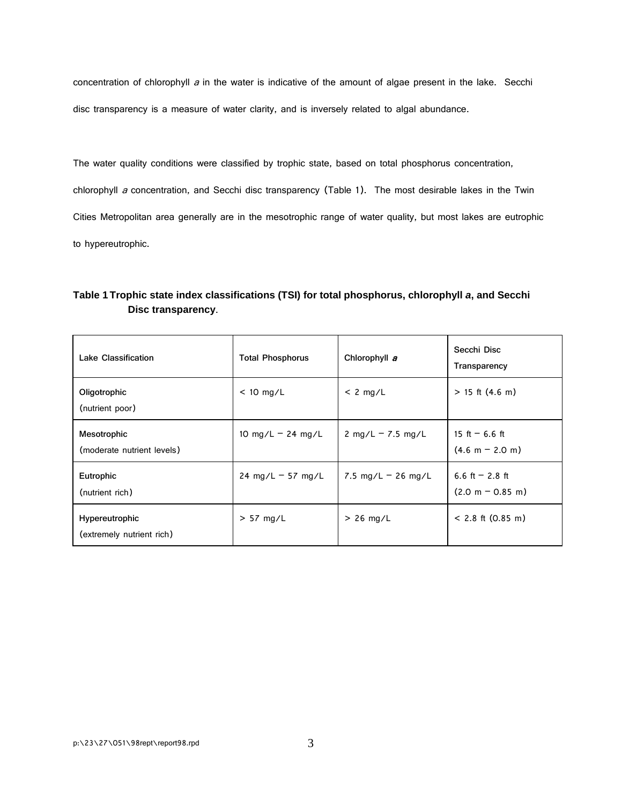concentration of chlorophyll  $a$  in the water is indicative of the amount of algae present in the lake. Secchi disc transparency is a measure of water clarity, and is inversely related to algal abundance.

The water quality conditions were classified by trophic state, based on total phosphorus concentration, chlorophyll a concentration, and Secchi disc transparency (Table 1). The most desirable lakes in the Twin Cities Metropolitan area generally are in the mesotrophic range of water quality, but most lakes are eutrophic to hypereutrophic.

| Table 1 Trophic state index classifications (TSI) for total phosphorus, chlorophyll a, and Secchi |  |
|---------------------------------------------------------------------------------------------------|--|
| Disc transparency.                                                                                |  |

| <b>Lake Classification</b>                  | <b>Total Phosphorus</b>             | Chlorophyll a        | Secchi Disc<br>Transparency            |
|---------------------------------------------|-------------------------------------|----------------------|----------------------------------------|
| Oligotrophic<br>(nutrient poor)             | $< 10$ mg/L                         | $< 2$ mg/L           | $> 15$ ft (4.6 m)                      |
| Mesotrophic<br>(moderate nutrient levels)   | 10 mg/L $-$ 24 mg/L                 | 2 mg/L $-$ 7.5 mg/L  | 15 ft $-6.6$ ft<br>$(4.6 m - 2.0 m)$   |
| Eutrophic<br>(nutrient rich)                | $24 \text{ mg/L} - 57 \text{ mg/L}$ | 7.5 mg/L $-$ 26 mg/L | 6.6 ft $-2.8$ ft<br>$(2.0 m - 0.85 m)$ |
| Hypereutrophic<br>(extremely nutrient rich) | $> 57$ mg/L                         | $> 26$ mg/L          | $< 2.8$ ft (0.85 m)                    |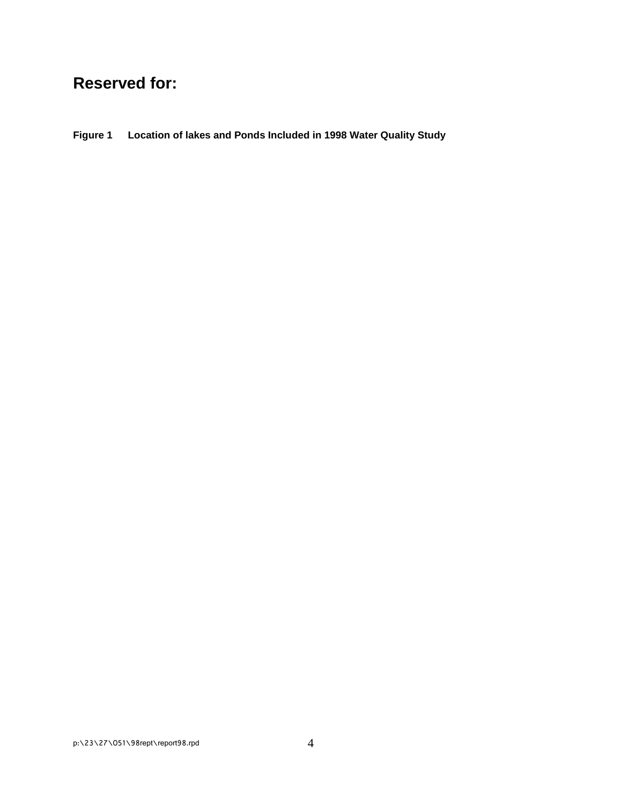## **Reserved for:**

**Figure 1 Location of lakes and Ponds Included in 1998 Water Quality Study**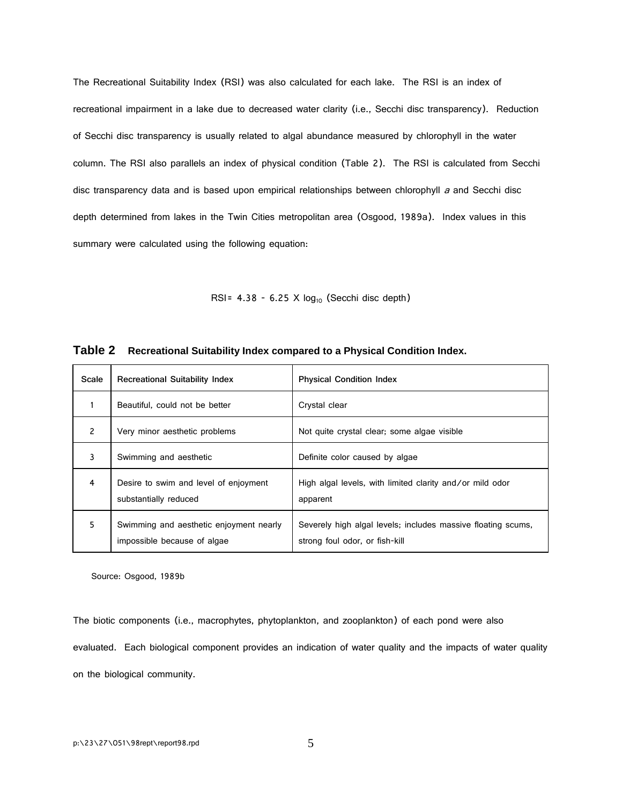The Recreational Suitability Index (RSI) was also calculated for each lake. The RSI is an index of recreational impairment in a lake due to decreased water clarity (i.e., Secchi disc transparency). Reduction of Secchi disc transparency is usually related to algal abundance measured by chlorophyll in the water column. The RSI also parallels an index of physical condition (Table 2). The RSI is calculated from Secchi disc transparency data and is based upon empirical relationships between chlorophyll a and Secchi disc depth determined from lakes in the Twin Cities metropolitan area (Osgood, 1989a). Index values in this summary were calculated using the following equation:

RSI=  $4.38 - 6.25 \times \log_{10}$  (Secchi disc depth)

| Scale | <b>Recreational Suitability Index</b>                                  | <b>Physical Condition Index</b>                                                                |
|-------|------------------------------------------------------------------------|------------------------------------------------------------------------------------------------|
|       | Beautiful, could not be better                                         | Crystal clear                                                                                  |
| 2     | Very minor aesthetic problems                                          | Not quite crystal clear; some algae visible                                                    |
| 3     | Swimming and aesthetic                                                 | Definite color caused by algae                                                                 |
| 4     | Desire to swim and level of enjoyment<br>substantially reduced         | High algal levels, with limited clarity and/or mild odor<br>apparent                           |
| 5     | Swimming and aesthetic enjoyment nearly<br>impossible because of algae | Severely high algal levels; includes massive floating scums,<br>strong foul odor, or fish-kill |

**Table 2 Recreational Suitability Index compared to a Physical Condition Index.**

Source: Osgood, 1989b

The biotic components (i.e., macrophytes, phytoplankton, and zooplankton) of each pond were also evaluated. Each biological component provides an indication of water quality and the impacts of water quality on the biological community.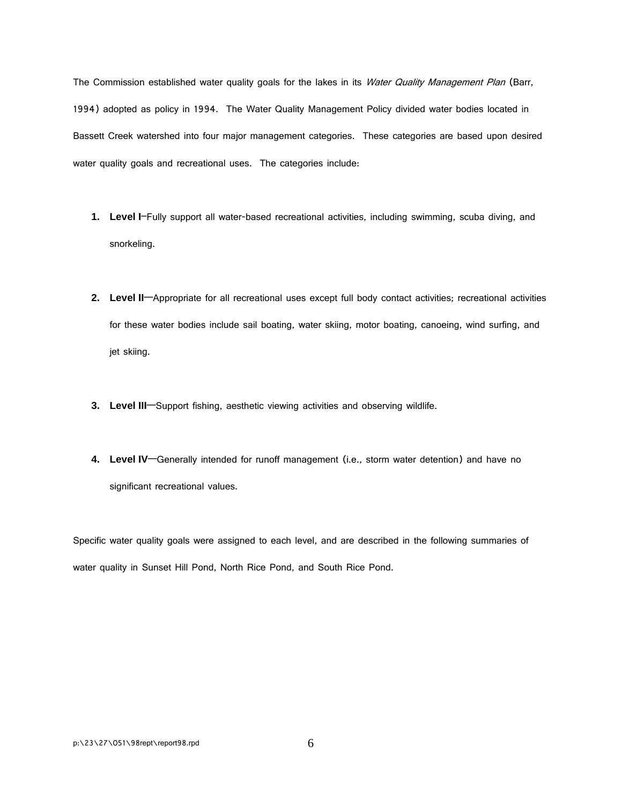The Commission established water quality goals for the lakes in its Water Quality Management Plan (Barr, 1994) adopted as policy in 1994. The Water Quality Management Policy divided water bodies located in Bassett Creek watershed into four major management categories. These categories are based upon desired water quality goals and recreational uses. The categories include:

- **1. Level I**–Fully support all water-based recreational activities, including swimming, scuba diving, and snorkeling.
- **2. Level II**—Appropriate for all recreational uses except full body contact activities; recreational activities for these water bodies include sail boating, water skiing, motor boating, canoeing, wind surfing, and jet skiing.
- **3. Level III**—Support fishing, aesthetic viewing activities and observing wildlife.
- **4. Level IV**—Generally intended for runoff management (i.e., storm water detention) and have no significant recreational values.

Specific water quality goals were assigned to each level, and are described in the following summaries of water quality in Sunset Hill Pond, North Rice Pond, and South Rice Pond.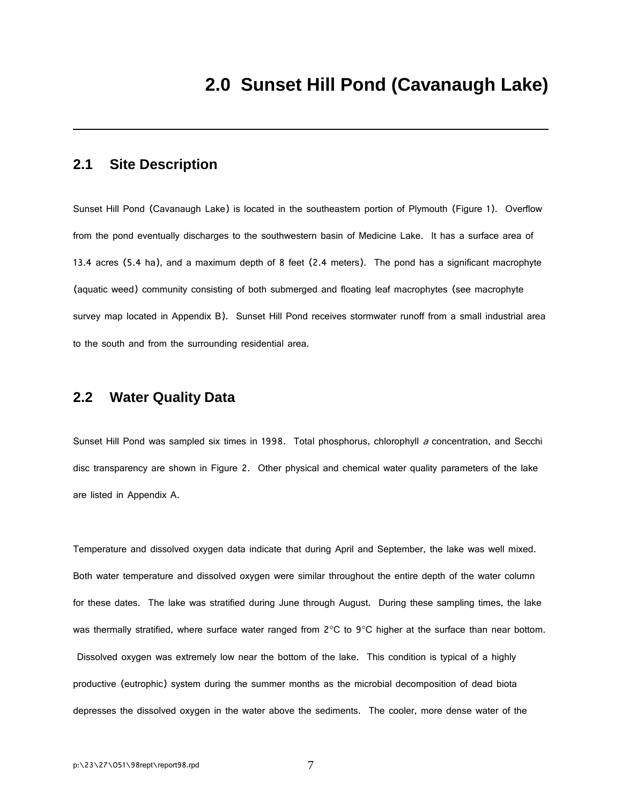### **2.1 Site Description**

Sunset Hill Pond (Cavanaugh Lake) is located in the southeastern portion of Plymouth (Figure 1). Overflow from the pond eventually discharges to the southwestern basin of Medicine Lake. It has a surface area of 13.4 acres (5.4 ha), and a maximum depth of 8 feet (2.4 meters). The pond has a significant macrophyte (aquatic weed) community consisting of both submerged and floating leaf macrophytes (see macrophyte survey map located in Appendix B). Sunset Hill Pond receives stormwater runoff from a small industrial area to the south and from the surrounding residential area.

#### **2.2 Water Quality Data**

Sunset Hill Pond was sampled six times in 1998. Total phosphorus, chlorophyll a concentration, and Secchi disc transparency are shown in Figure 2. Other physical and chemical water quality parameters of the lake are listed in Appendix A.

Temperature and dissolved oxygen data indicate that during April and September, the lake was well mixed. Both water temperature and dissolved oxygen were similar throughout the entire depth of the water column for these dates. The lake was stratified during June through August. During these sampling times, the lake was thermally stratified, where surface water ranged from 2°C to 9°C higher at the surface than near bottom. Dissolved oxygen was extremely low near the bottom of the lake. This condition is typical of a highly productive (eutrophic) system during the summer months as the microbial decomposition of dead biota depresses the dissolved oxygen in the water above the sediments. The cooler, more dense water of the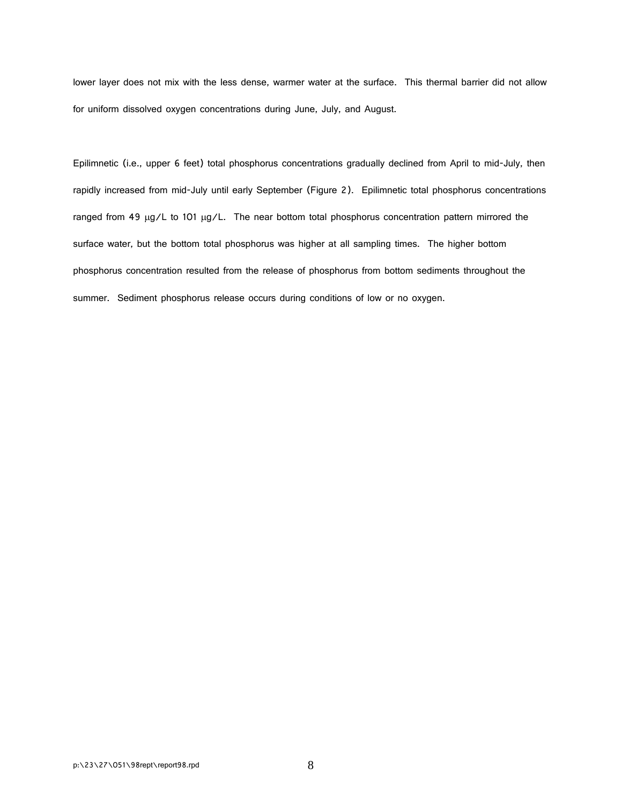lower layer does not mix with the less dense, warmer water at the surface. This thermal barrier did not allow for uniform dissolved oxygen concentrations during June, July, and August.

Epilimnetic (i.e., upper 6 feet) total phosphorus concentrations gradually declined from April to mid-July, then rapidly increased from mid-July until early September (Figure 2). Epilimnetic total phosphorus concentrations ranged from 49  $\mu$ g/L to 101  $\mu$ g/L. The near bottom total phosphorus concentration pattern mirrored the surface water, but the bottom total phosphorus was higher at all sampling times. The higher bottom phosphorus concentration resulted from the release of phosphorus from bottom sediments throughout the summer. Sediment phosphorus release occurs during conditions of low or no oxygen.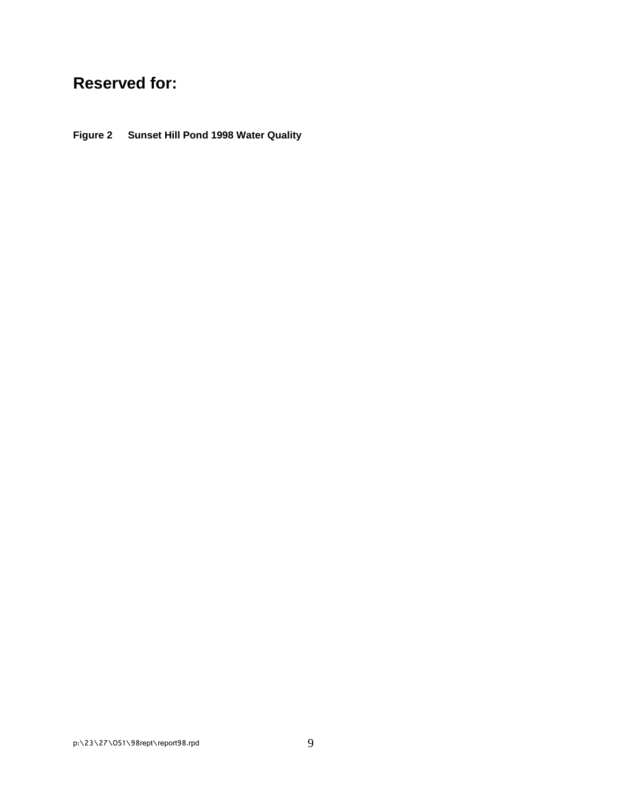# **Reserved for:**

**Figure 2 Sunset Hill Pond 1998 Water Quality**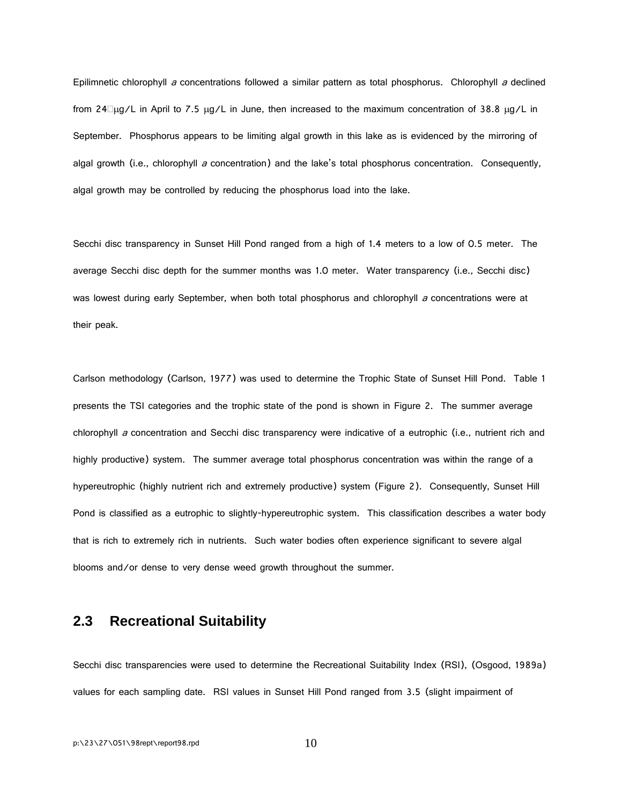Epilimnetic chlorophyll a concentrations followed a similar pattern as total phosphorus. Chlorophyll a declined from 24 $\Box \mu$ g/L in April to 7.5  $\mu$ g/L in June, then increased to the maximum concentration of 38.8  $\mu$ g/L in September. Phosphorus appears to be limiting algal growth in this lake as is evidenced by the mirroring of algal growth (i.e., chlorophyll a concentration) and the lake's total phosphorus concentration. Consequently, algal growth may be controlled by reducing the phosphorus load into the lake.

Secchi disc transparency in Sunset Hill Pond ranged from a high of 1.4 meters to a low of 0.5 meter. The average Secchi disc depth for the summer months was 1.0 meter. Water transparency (i.e., Secchi disc) was lowest during early September, when both total phosphorus and chlorophyll a concentrations were at their peak.

Carlson methodology (Carlson, 1977) was used to determine the Trophic State of Sunset Hill Pond. Table 1 presents the TSI categories and the trophic state of the pond is shown in Figure 2. The summer average chlorophyll a concentration and Secchi disc transparency were indicative of a eutrophic (i.e., nutrient rich and highly productive) system. The summer average total phosphorus concentration was within the range of a hypereutrophic (highly nutrient rich and extremely productive) system (Figure 2). Consequently, Sunset Hill Pond is classified as a eutrophic to slightly-hypereutrophic system. This classification describes a water body that is rich to extremely rich in nutrients. Such water bodies often experience significant to severe algal blooms and/or dense to very dense weed growth throughout the summer.

### **2.3 Recreational Suitability**

Secchi disc transparencies were used to determine the Recreational Suitability Index (RSI), (Osgood, 1989a) values for each sampling date. RSI values in Sunset Hill Pond ranged from 3.5 (slight impairment of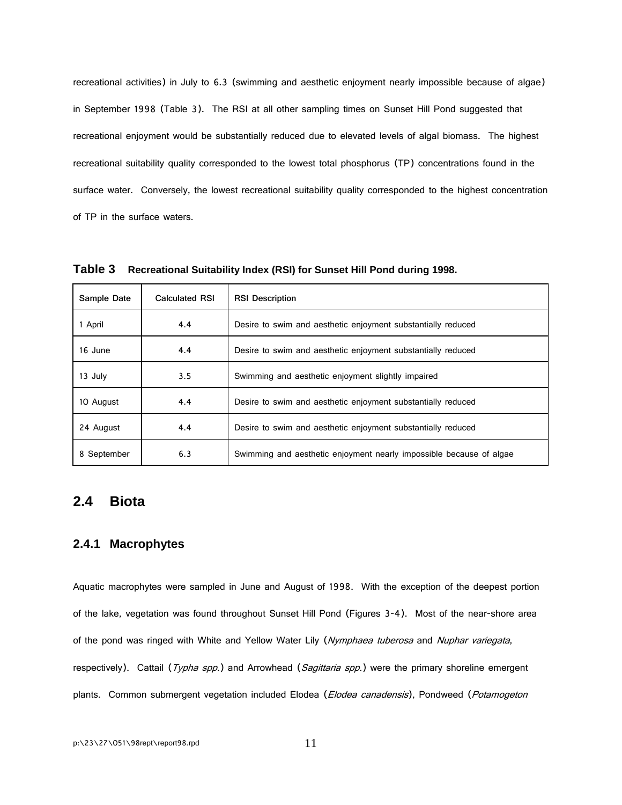recreational activities) in July to 6.3 (swimming and aesthetic enjoyment nearly impossible because of algae) in September 1998 (Table 3). The RSI at all other sampling times on Sunset Hill Pond suggested that recreational enjoyment would be substantially reduced due to elevated levels of algal biomass. The highest recreational suitability quality corresponded to the lowest total phosphorus (TP) concentrations found in the surface water. Conversely, the lowest recreational suitability quality corresponded to the highest concentration of TP in the surface waters.

| Sample Date | <b>Calculated RSI</b> | <b>RSI Description</b>                                              |
|-------------|-----------------------|---------------------------------------------------------------------|
| 1 April     | 4.4                   | Desire to swim and aesthetic enjoyment substantially reduced        |
| 16 June     | 4.4                   | Desire to swim and aesthetic enjoyment substantially reduced        |
| 13 July     | 3.5                   | Swimming and aesthetic enjoyment slightly impaired                  |
| 10 August   | 4.4                   | Desire to swim and aesthetic enjoyment substantially reduced        |
| 24 August   | 4.4                   | Desire to swim and aesthetic enjoyment substantially reduced        |
| 8 September | 6.3                   | Swimming and aesthetic enjoyment nearly impossible because of algae |

**Table 3 Recreational Suitability Index (RSI) for Sunset Hill Pond during 1998.**

#### **2.4 Biota**

#### **2.4.1 Macrophytes**

Aquatic macrophytes were sampled in June and August of 1998. With the exception of the deepest portion of the lake, vegetation was found throughout Sunset Hill Pond (Figures 3-4). Most of the near-shore area of the pond was ringed with White and Yellow Water Lily (Nymphaea tuberosa and Nuphar variegata, respectively). Cattail (Typha spp.) and Arrowhead (Sagittaria spp.) were the primary shoreline emergent plants. Common submergent vegetation included Elodea (Elodea canadensis), Pondweed (Potamogeton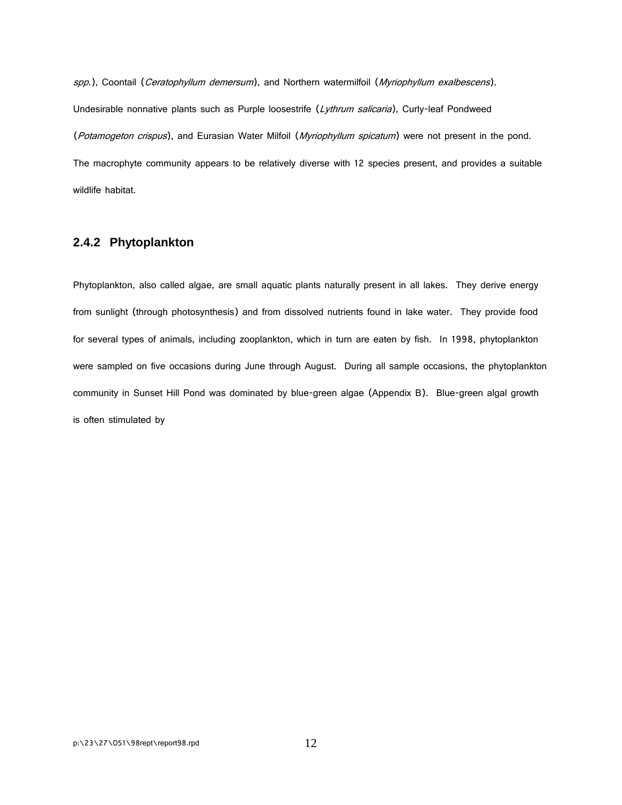spp.), Coontail (Ceratophyllum demersum), and Northern watermilfoil (Myriophyllum exalbescens). Undesirable nonnative plants such as Purple loosestrife (Lythrum salicaria), Curly-leaf Pondweed (Potamogeton crispus), and Eurasian Water Milfoil (Myriophyllum spicatum) were not present in the pond. The macrophyte community appears to be relatively diverse with 12 species present, and provides a suitable wildlife habitat.

#### **2.4.2 Phytoplankton**

Phytoplankton, also called algae, are small aquatic plants naturally present in all lakes. They derive energy from sunlight (through photosynthesis) and from dissolved nutrients found in lake water. They provide food for several types of animals, including zooplankton, which in turn are eaten by fish. In 1998, phytoplankton were sampled on five occasions during June through August. During all sample occasions, the phytoplankton community in Sunset Hill Pond was dominated by blue-green algae (Appendix B). Blue-green algal growth is often stimulated by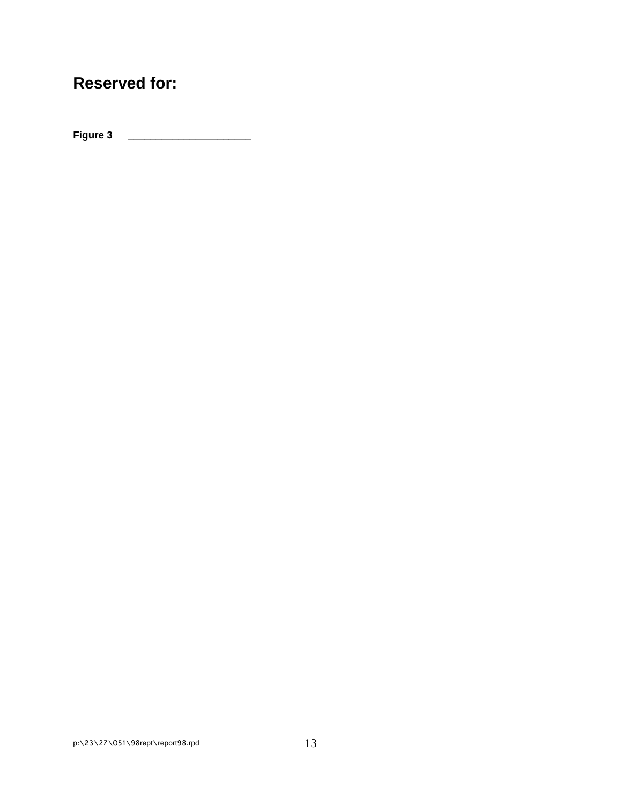# **Reserved for:**

**Figure 3 \_\_\_\_\_\_\_\_\_\_\_\_\_\_\_\_\_\_\_\_\_\_**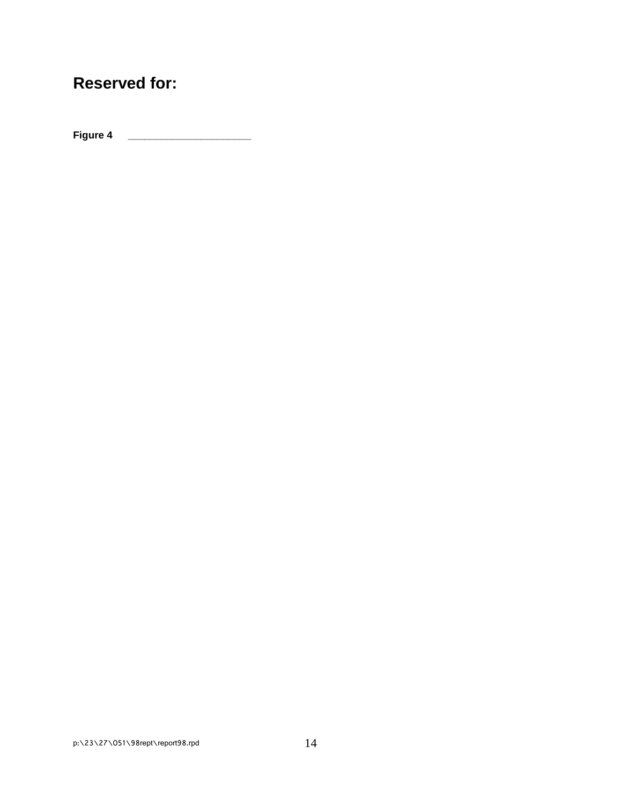# **Reserved for:**

**Figure 4 \_\_\_\_\_\_\_\_\_\_\_\_\_\_\_\_\_\_\_\_\_\_**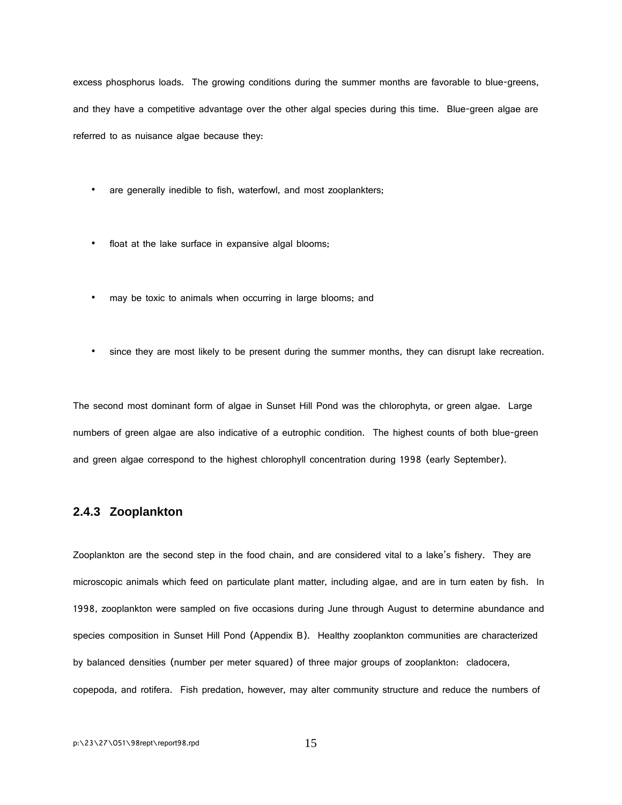excess phosphorus loads. The growing conditions during the summer months are favorable to blue-greens, and they have a competitive advantage over the other algal species during this time. Blue-green algae are referred to as nuisance algae because they:

- are generally inedible to fish, waterfowl, and most zooplankters;
- float at the lake surface in expansive algal blooms;
- may be toxic to animals when occurring in large blooms; and
- since they are most likely to be present during the summer months, they can disrupt lake recreation.

The second most dominant form of algae in Sunset Hill Pond was the chlorophyta, or green algae. Large numbers of green algae are also indicative of a eutrophic condition. The highest counts of both blue-green and green algae correspond to the highest chlorophyll concentration during 1998 (early September).

#### **2.4.3 Zooplankton**

Zooplankton are the second step in the food chain, and are considered vital to a lake's fishery. They are microscopic animals which feed on particulate plant matter, including algae, and are in turn eaten by fish. In 1998, zooplankton were sampled on five occasions during June through August to determine abundance and species composition in Sunset Hill Pond (Appendix B). Healthy zooplankton communities are characterized by balanced densities (number per meter squared) of three major groups of zooplankton: cladocera, copepoda, and rotifera. Fish predation, however, may alter community structure and reduce the numbers of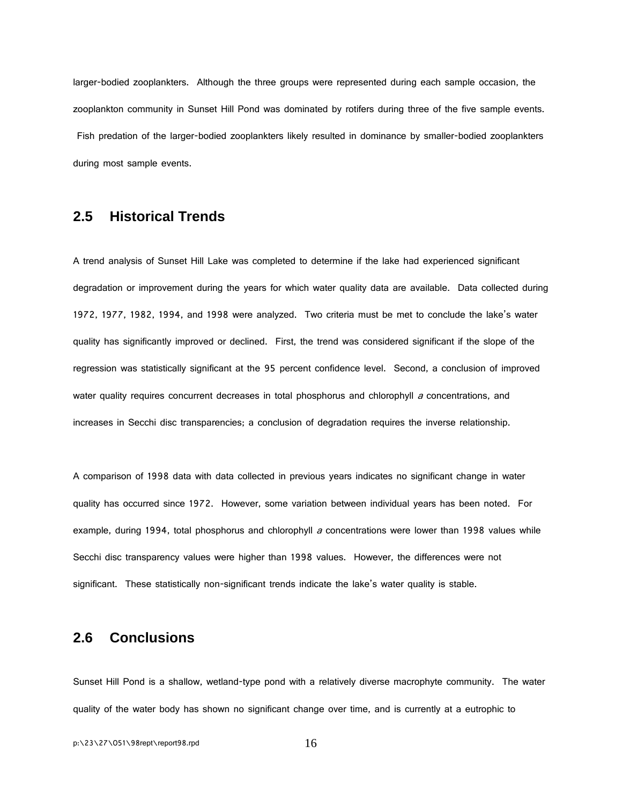larger-bodied zooplankters. Although the three groups were represented during each sample occasion, the zooplankton community in Sunset Hill Pond was dominated by rotifers during three of the five sample events. Fish predation of the larger-bodied zooplankters likely resulted in dominance by smaller-bodied zooplankters during most sample events.

### **2.5 Historical Trends**

A trend analysis of Sunset Hill Lake was completed to determine if the lake had experienced significant degradation or improvement during the years for which water quality data are available. Data collected during 1972, 1977, 1982, 1994, and 1998 were analyzed. Two criteria must be met to conclude the lake's water quality has significantly improved or declined. First, the trend was considered significant if the slope of the regression was statistically significant at the 95 percent confidence level. Second, a conclusion of improved water quality requires concurrent decreases in total phosphorus and chlorophyll  $a$  concentrations, and increases in Secchi disc transparencies; a conclusion of degradation requires the inverse relationship.

A comparison of 1998 data with data collected in previous years indicates no significant change in water quality has occurred since 1972. However, some variation between individual years has been noted. For example, during 1994, total phosphorus and chlorophyll a concentrations were lower than 1998 values while Secchi disc transparency values were higher than 1998 values. However, the differences were not significant. These statistically non-significant trends indicate the lake's water quality is stable.

### **2.6 Conclusions**

Sunset Hill Pond is a shallow, wetland-type pond with a relatively diverse macrophyte community. The water quality of the water body has shown no significant change over time, and is currently at a eutrophic to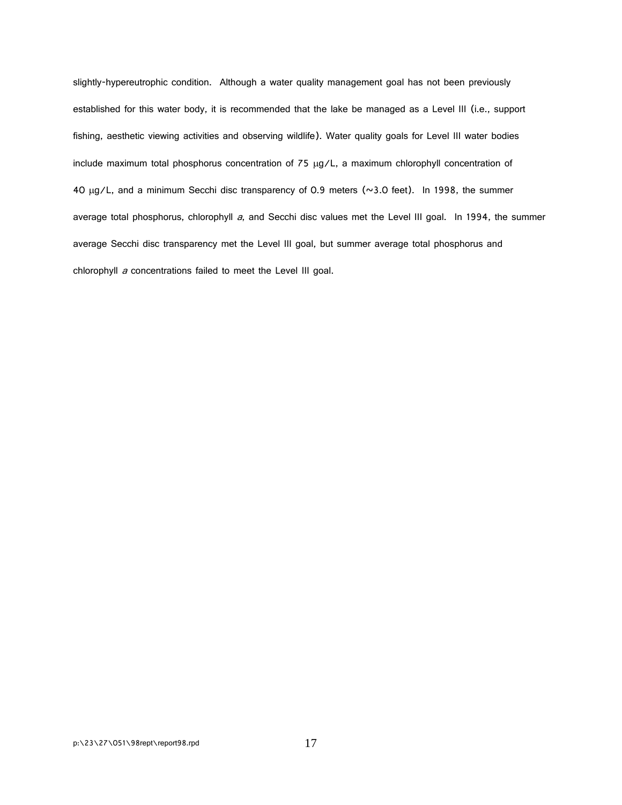slightly-hypereutrophic condition. Although a water quality management goal has not been previously established for this water body, it is recommended that the lake be managed as a Level III (i.e., support fishing, aesthetic viewing activities and observing wildlife). Water quality goals for Level III water bodies include maximum total phosphorus concentration of 75 µg/L, a maximum chlorophyll concentration of 40 µg/L, and a minimum Secchi disc transparency of 0.9 meters (~3.0 feet). In 1998, the summer average total phosphorus, chlorophyll a, and Secchi disc values met the Level III goal. In 1994, the summer average Secchi disc transparency met the Level III goal, but summer average total phosphorus and chlorophyll a concentrations failed to meet the Level III goal.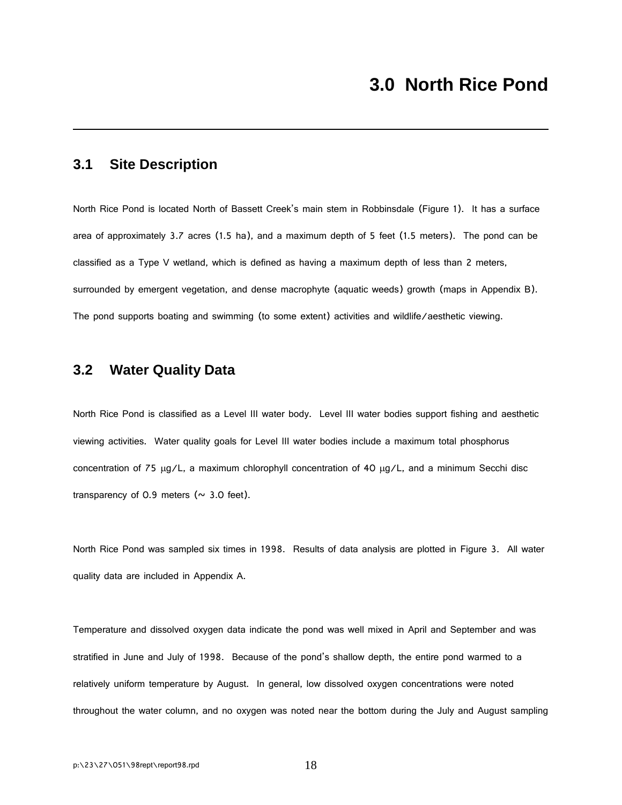### **3.1 Site Description**

North Rice Pond is located North of Bassett Creek's main stem in Robbinsdale (Figure 1). It has a surface area of approximately 3.7 acres (1.5 ha), and a maximum depth of 5 feet (1.5 meters). The pond can be classified as a Type V wetland, which is defined as having a maximum depth of less than 2 meters, surrounded by emergent vegetation, and dense macrophyte (aquatic weeds) growth (maps in Appendix B). The pond supports boating and swimming (to some extent) activities and wildlife/aesthetic viewing.

### **3.2 Water Quality Data**

North Rice Pond is classified as a Level III water body. Level III water bodies support fishing and aesthetic viewing activities. Water quality goals for Level III water bodies include a maximum total phosphorus concentration of 75 µg/L, a maximum chlorophyll concentration of 40 µg/L, and a minimum Secchi disc transparency of 0.9 meters ( $\sim$  3.0 feet).

North Rice Pond was sampled six times in 1998. Results of data analysis are plotted in Figure 3. All water quality data are included in Appendix A.

Temperature and dissolved oxygen data indicate the pond was well mixed in April and September and was stratified in June and July of 1998. Because of the pond's shallow depth, the entire pond warmed to a relatively uniform temperature by August. In general, low dissolved oxygen concentrations were noted throughout the water column, and no oxygen was noted near the bottom during the July and August sampling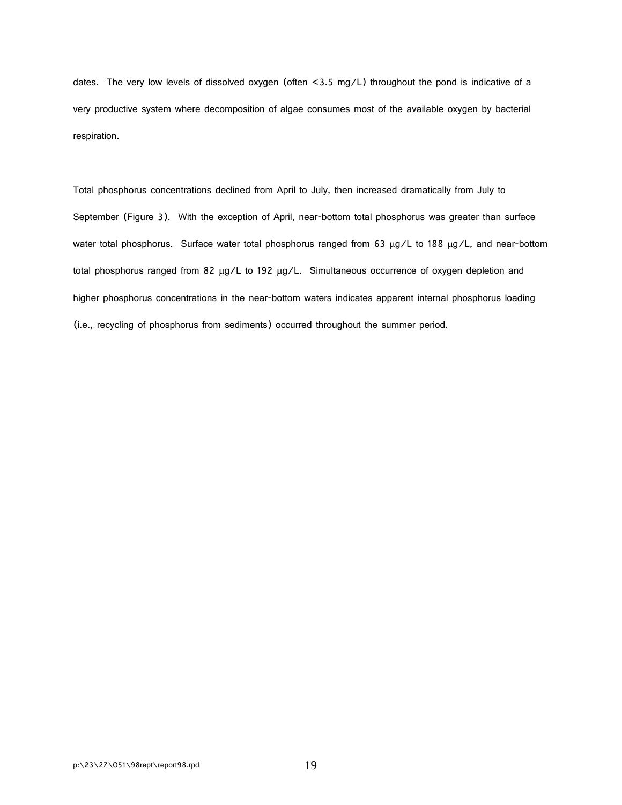dates. The very low levels of dissolved oxygen (often <3.5 mg/L) throughout the pond is indicative of a very productive system where decomposition of algae consumes most of the available oxygen by bacterial respiration.

Total phosphorus concentrations declined from April to July, then increased dramatically from July to September (Figure 3). With the exception of April, near-bottom total phosphorus was greater than surface water total phosphorus. Surface water total phosphorus ranged from 63 µg/L to 188 µg/L, and near-bottom total phosphorus ranged from 82 µg/L to 192 µg/L. Simultaneous occurrence of oxygen depletion and higher phosphorus concentrations in the near-bottom waters indicates apparent internal phosphorus loading (i.e., recycling of phosphorus from sediments) occurred throughout the summer period.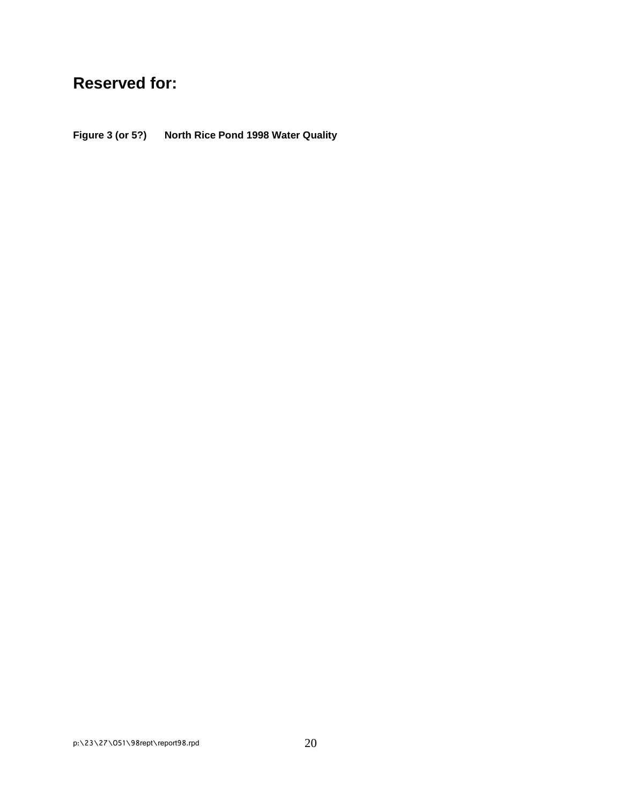# **Reserved for:**

**Figure 3 (or 5?) North Rice Pond 1998 Water Quality**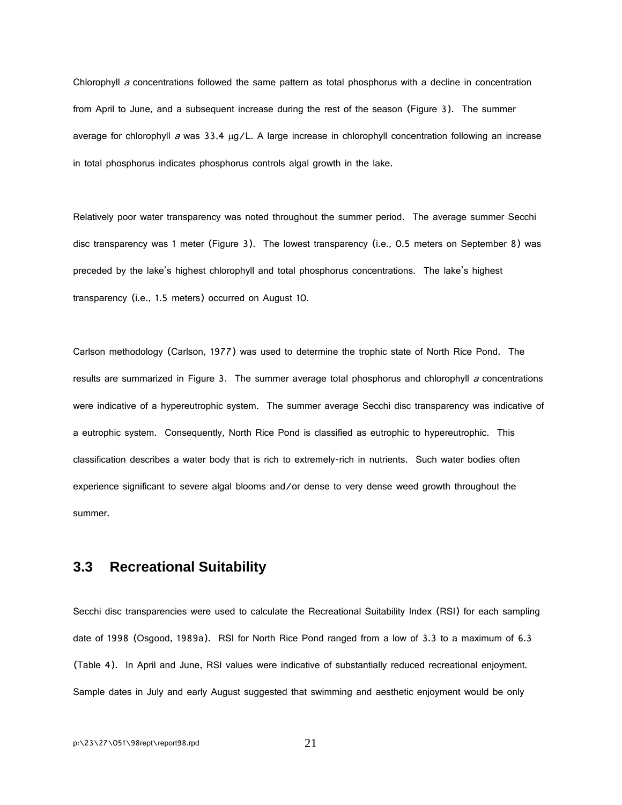Chlorophyll  $a$  concentrations followed the same pattern as total phosphorus with a decline in concentration from April to June, and a subsequent increase during the rest of the season (Figure 3). The summer average for chlorophyll a was  $33.4 \mu g/L$ . A large increase in chlorophyll concentration following an increase in total phosphorus indicates phosphorus controls algal growth in the lake.

Relatively poor water transparency was noted throughout the summer period. The average summer Secchi disc transparency was 1 meter (Figure 3). The lowest transparency (i.e., 0.5 meters on September 8) was preceded by the lake's highest chlorophyll and total phosphorus concentrations. The lake's highest transparency (i.e., 1.5 meters) occurred on August 10.

Carlson methodology (Carlson, 1977) was used to determine the trophic state of North Rice Pond. The results are summarized in Figure 3. The summer average total phosphorus and chlorophyll  $a$  concentrations were indicative of a hypereutrophic system. The summer average Secchi disc transparency was indicative of a eutrophic system. Consequently, North Rice Pond is classified as eutrophic to hypereutrophic. This classification describes a water body that is rich to extremely-rich in nutrients. Such water bodies often experience significant to severe algal blooms and/or dense to very dense weed growth throughout the summer.

### **3.3 Recreational Suitability**

Secchi disc transparencies were used to calculate the Recreational Suitability Index (RSI) for each sampling date of 1998 (Osgood, 1989a). RSI for North Rice Pond ranged from a low of 3.3 to a maximum of 6.3 (Table 4). In April and June, RSI values were indicative of substantially reduced recreational enjoyment. Sample dates in July and early August suggested that swimming and aesthetic enjoyment would be only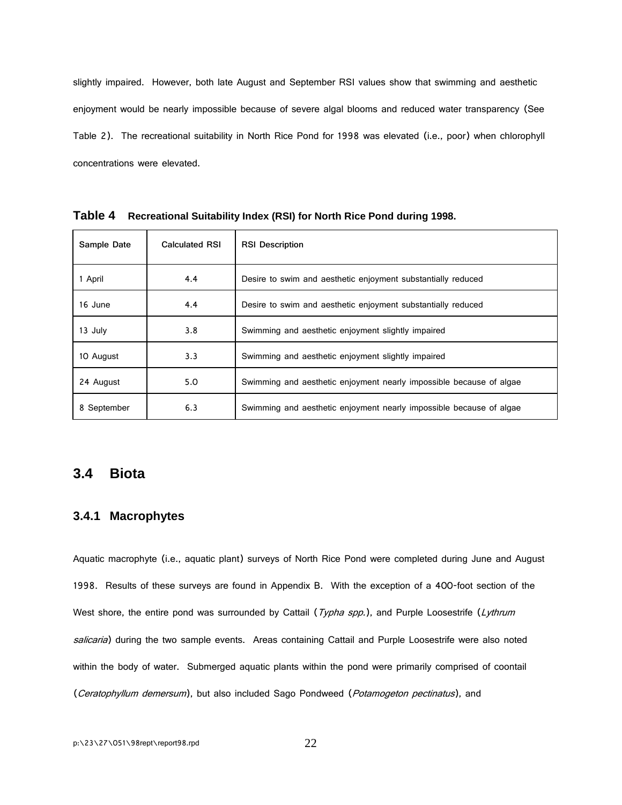slightly impaired. However, both late August and September RSI values show that swimming and aesthetic enjoyment would be nearly impossible because of severe algal blooms and reduced water transparency (See Table 2). The recreational suitability in North Rice Pond for 1998 was elevated (i.e., poor) when chlorophyll concentrations were elevated.

| Sample Date | <b>Calculated RSI</b> | <b>RSI Description</b>                                              |
|-------------|-----------------------|---------------------------------------------------------------------|
| 1 April     | 4.4                   | Desire to swim and aesthetic enjoyment substantially reduced        |
| 16 June     | 4.4                   | Desire to swim and aesthetic enjoyment substantially reduced        |
| 13 July     | 3.8                   | Swimming and aesthetic enjoyment slightly impaired                  |
| 10 August   | 3.3                   | Swimming and aesthetic enjoyment slightly impaired                  |
| 24 August   | 5.0                   | Swimming and aesthetic enjoyment nearly impossible because of algae |
| 8 September | 6.3                   | Swimming and aesthetic enjoyment nearly impossible because of algae |

**Table 4 Recreational Suitability Index (RSI) for North Rice Pond during 1998.**

#### **3.4 Biota**

#### **3.4.1 Macrophytes**

Aquatic macrophyte (i.e., aquatic plant) surveys of North Rice Pond were completed during June and August 1998. Results of these surveys are found in Appendix B. With the exception of a 400-foot section of the West shore, the entire pond was surrounded by Cattail ( $Typha$  spp.), and Purple Loosestrife (Lythrum salicaria) during the two sample events. Areas containing Cattail and Purple Loosestrife were also noted within the body of water. Submerged aquatic plants within the pond were primarily comprised of coontail (Ceratophyllum demersum), but also included Sago Pondweed (Potamogeton pectinatus), and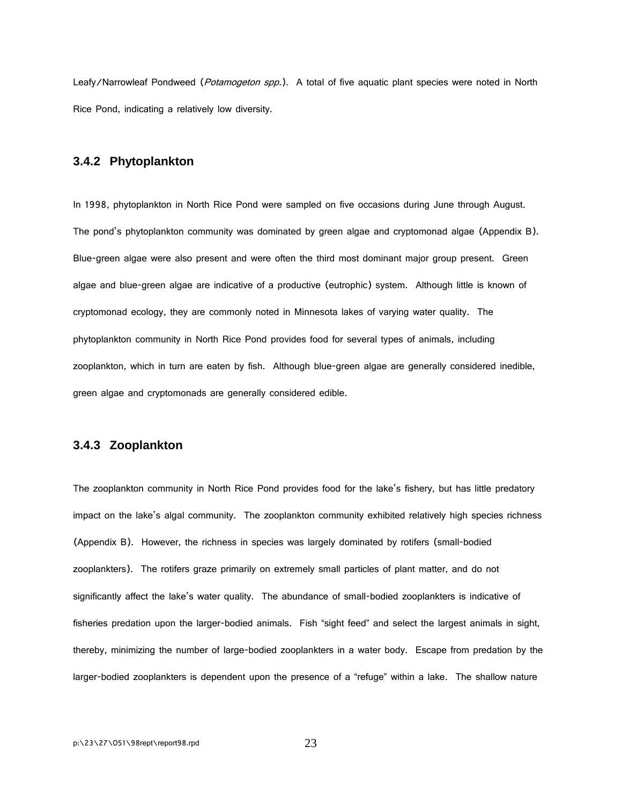Leafy/Narrowleaf Pondweed (Potamogeton spp.). A total of five aquatic plant species were noted in North Rice Pond, indicating a relatively low diversity.

#### **3.4.2 Phytoplankton**

In 1998, phytoplankton in North Rice Pond were sampled on five occasions during June through August. The pond's phytoplankton community was dominated by green algae and cryptomonad algae (Appendix B). Blue-green algae were also present and were often the third most dominant major group present. Green algae and blue-green algae are indicative of a productive (eutrophic) system. Although little is known of cryptomonad ecology, they are commonly noted in Minnesota lakes of varying water quality. The phytoplankton community in North Rice Pond provides food for several types of animals, including zooplankton, which in turn are eaten by fish. Although blue-green algae are generally considered inedible, green algae and cryptomonads are generally considered edible.

#### **3.4.3 Zooplankton**

The zooplankton community in North Rice Pond provides food for the lake's fishery, but has little predatory impact on the lake's algal community. The zooplankton community exhibited relatively high species richness (Appendix B). However, the richness in species was largely dominated by rotifers (small-bodied zooplankters). The rotifers graze primarily on extremely small particles of plant matter, and do not significantly affect the lake's water quality. The abundance of small-bodied zooplankters is indicative of fisheries predation upon the larger-bodied animals. Fish "sight feed" and select the largest animals in sight, thereby, minimizing the number of large-bodied zooplankters in a water body. Escape from predation by the larger-bodied zooplankters is dependent upon the presence of a "refuge" within a lake. The shallow nature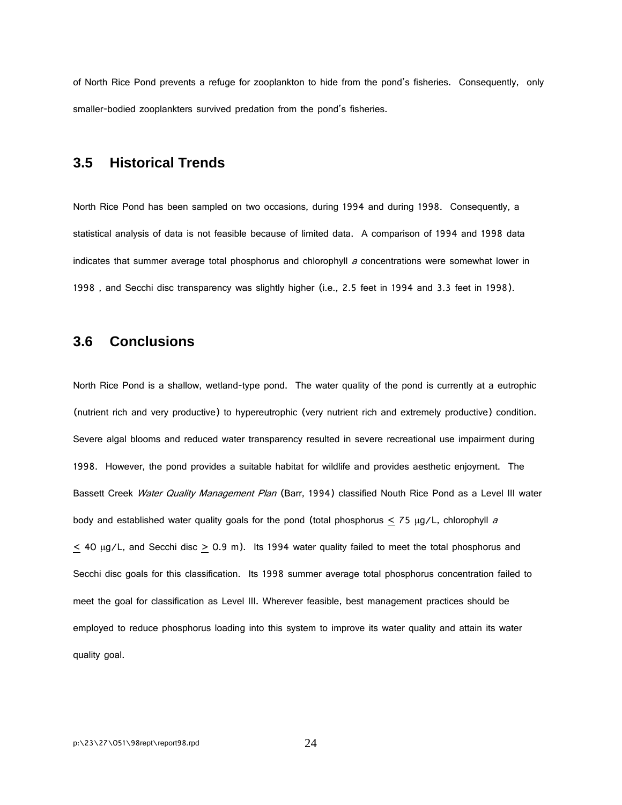of North Rice Pond prevents a refuge for zooplankton to hide from the pond's fisheries. Consequently, only smaller-bodied zooplankters survived predation from the pond's fisheries.

### **3.5 Historical Trends**

North Rice Pond has been sampled on two occasions, during 1994 and during 1998. Consequently, a statistical analysis of data is not feasible because of limited data. A comparison of 1994 and 1998 data indicates that summer average total phosphorus and chlorophyll  $a$  concentrations were somewhat lower in 1998 , and Secchi disc transparency was slightly higher (i.e., 2.5 feet in 1994 and 3.3 feet in 1998).

#### **3.6 Conclusions**

North Rice Pond is a shallow, wetland-type pond. The water quality of the pond is currently at a eutrophic (nutrient rich and very productive) to hypereutrophic (very nutrient rich and extremely productive) condition. Severe algal blooms and reduced water transparency resulted in severe recreational use impairment during 1998. However, the pond provides a suitable habitat for wildlife and provides aesthetic enjoyment. The Bassett Creek Water Quality Management Plan (Barr, 1994) classified Nouth Rice Pond as a Level III water body and established water quality goals for the pond (total phosphorus  $\lt$  75  $\mu$ g/L, chlorophyll a  $\leq$  40 µg/L, and Secchi disc  $\geq$  0.9 m). Its 1994 water quality failed to meet the total phosphorus and Secchi disc goals for this classification. Its 1998 summer average total phosphorus concentration failed to meet the goal for classification as Level III. Wherever feasible, best management practices should be employed to reduce phosphorus loading into this system to improve its water quality and attain its water quality goal.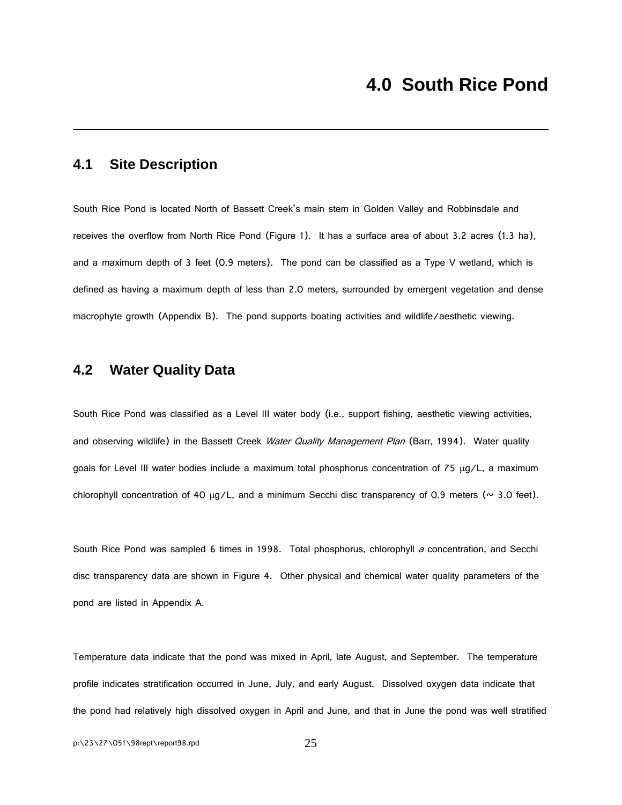### **4.1 Site Description**

South Rice Pond is located North of Bassett Creek's main stem in Golden Valley and Robbinsdale and receives the overflow from North Rice Pond (Figure 1). It has a surface area of about 3.2 acres (1.3 ha), and a maximum depth of 3 feet (0.9 meters). The pond can be classified as a Type V wetland, which is defined as having a maximum depth of less than 2.0 meters, surrounded by emergent vegetation and dense macrophyte growth (Appendix B). The pond supports boating activities and wildlife/aesthetic viewing.

### **4.2 Water Quality Data**

South Rice Pond was classified as a Level III water body (i.e., support fishing, aesthetic viewing activities, and observing wildlife) in the Bassett Creek Water Quality Management Plan (Barr, 1994). Water quality goals for Level III water bodies include a maximum total phosphorus concentration of 75 µg/L, a maximum chlorophyll concentration of 40  $\mu$ g/L, and a minimum Secchi disc transparency of 0.9 meters ( $\sim$  3.0 feet).

South Rice Pond was sampled 6 times in 1998. Total phosphorus, chlorophyll a concentration, and Secchi disc transparency data are shown in Figure 4. Other physical and chemical water quality parameters of the pond are listed in Appendix A.

Temperature data indicate that the pond was mixed in April, late August, and September. The temperature profile indicates stratification occurred in June, July, and early August. Dissolved oxygen data indicate that the pond had relatively high dissolved oxygen in April and June, and that in June the pond was well stratified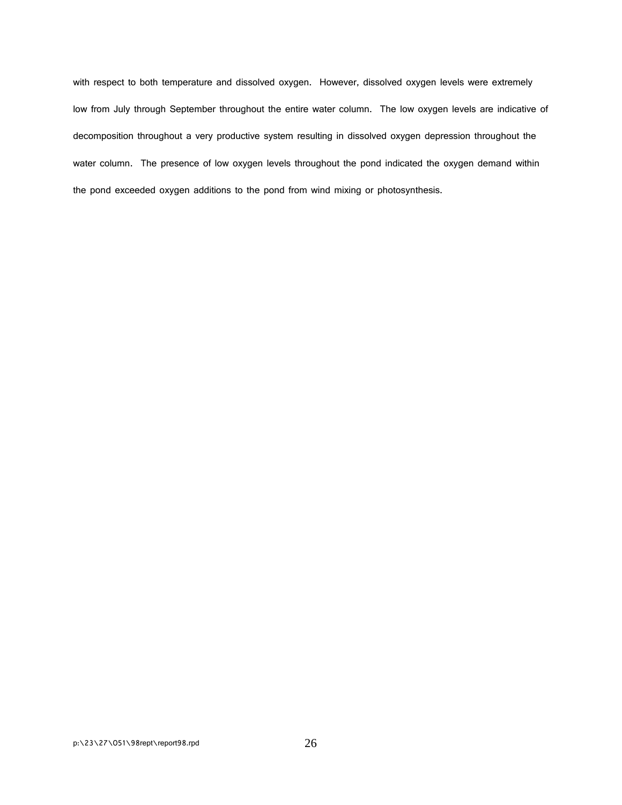with respect to both temperature and dissolved oxygen. However, dissolved oxygen levels were extremely low from July through September throughout the entire water column. The low oxygen levels are indicative of decomposition throughout a very productive system resulting in dissolved oxygen depression throughout the water column. The presence of low oxygen levels throughout the pond indicated the oxygen demand within the pond exceeded oxygen additions to the pond from wind mixing or photosynthesis.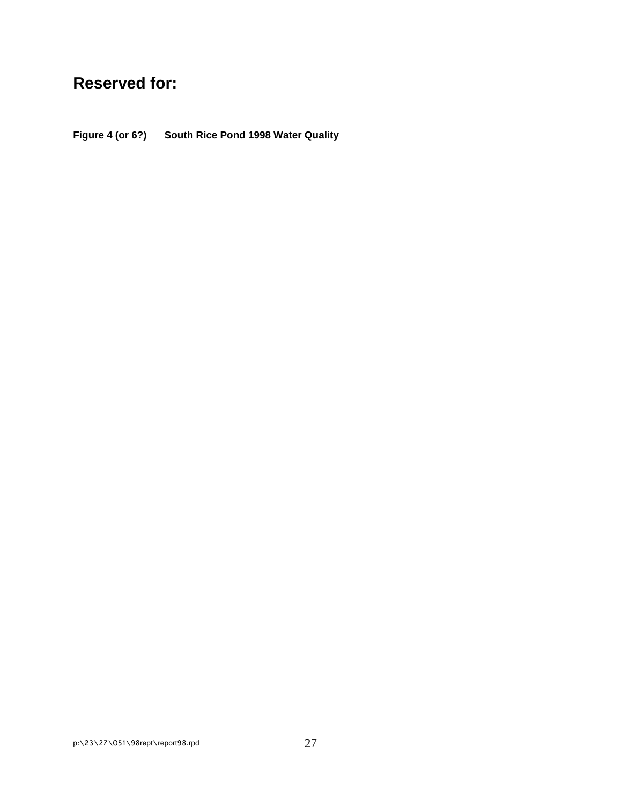# **Reserved for:**

**Figure 4 (or 6?) South Rice Pond 1998 Water Quality**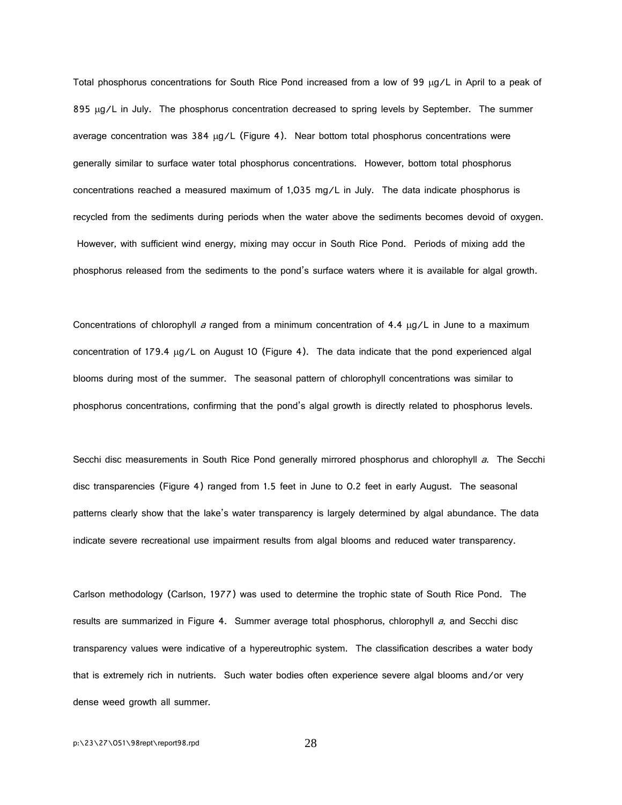Total phosphorus concentrations for South Rice Pond increased from a low of 99  $\mu$ g/L in April to a peak of 895 µg/L in July. The phosphorus concentration decreased to spring levels by September. The summer average concentration was  $384 \mu g/L$  (Figure 4). Near bottom total phosphorus concentrations were generally similar to surface water total phosphorus concentrations. However, bottom total phosphorus concentrations reached a measured maximum of 1,035 mg/L in July. The data indicate phosphorus is recycled from the sediments during periods when the water above the sediments becomes devoid of oxygen. However, with sufficient wind energy, mixing may occur in South Rice Pond. Periods of mixing add the phosphorus released from the sediments to the pond's surface waters where it is available for algal growth.

Concentrations of chlorophyll a ranged from a minimum concentration of 4.4  $\mu$ g/L in June to a maximum concentration of 179.4 µg/L on August 10 (Figure 4). The data indicate that the pond experienced algal blooms during most of the summer. The seasonal pattern of chlorophyll concentrations was similar to phosphorus concentrations, confirming that the pond's algal growth is directly related to phosphorus levels.

Secchi disc measurements in South Rice Pond generally mirrored phosphorus and chlorophyll a. The Secchi disc transparencies (Figure 4) ranged from 1.5 feet in June to 0.2 feet in early August. The seasonal patterns clearly show that the lake's water transparency is largely determined by algal abundance. The data indicate severe recreational use impairment results from algal blooms and reduced water transparency.

Carlson methodology (Carlson, 1977) was used to determine the trophic state of South Rice Pond. The results are summarized in Figure 4. Summer average total phosphorus, chlorophyll a, and Secchi disc transparency values were indicative of a hypereutrophic system. The classification describes a water body that is extremely rich in nutrients. Such water bodies often experience severe algal blooms and/or very dense weed growth all summer.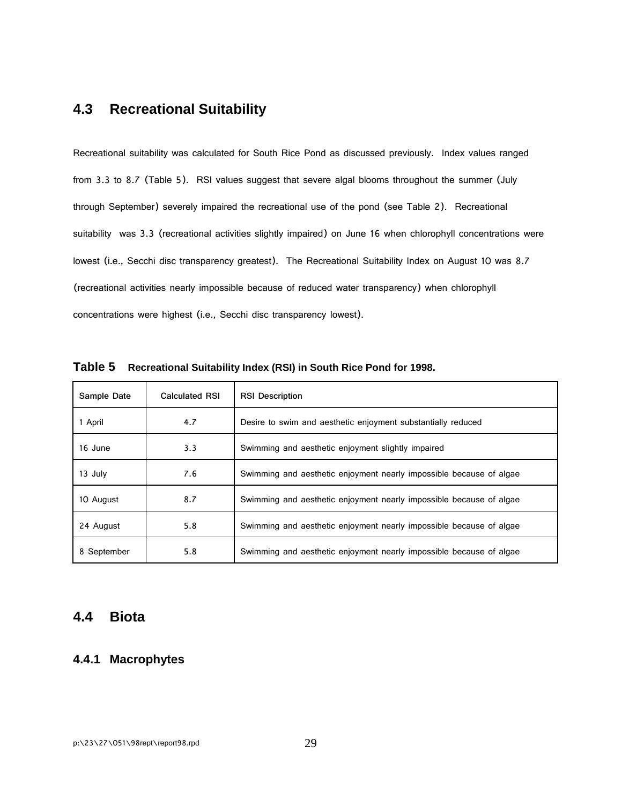## **4.3 Recreational Suitability**

Recreational suitability was calculated for South Rice Pond as discussed previously. Index values ranged from 3.3 to 8.7 (Table 5). RSI values suggest that severe algal blooms throughout the summer (July through September) severely impaired the recreational use of the pond (see Table 2). Recreational suitability was 3.3 (recreational activities slightly impaired) on June 16 when chlorophyll concentrations were lowest (i.e., Secchi disc transparency greatest). The Recreational Suitability Index on August 10 was 8.7 (recreational activities nearly impossible because of reduced water transparency) when chlorophyll concentrations were highest (i.e., Secchi disc transparency lowest).

| Sample Date | <b>Calculated RSI</b> | <b>RSI Description</b>                                              |
|-------------|-----------------------|---------------------------------------------------------------------|
| 1 April     | 4.7                   | Desire to swim and aesthetic enjoyment substantially reduced        |
| 16 June     | 3.3                   | Swimming and aesthetic enjoyment slightly impaired                  |
| 13 July     | 7.6                   | Swimming and aesthetic enjoyment nearly impossible because of algae |
| 10 August   | 8.7                   | Swimming and aesthetic enjoyment nearly impossible because of algae |
| 24 August   | 5.8                   | Swimming and aesthetic enjoyment nearly impossible because of algae |
| 8 September | 5.8                   | Swimming and aesthetic enjoyment nearly impossible because of algae |

**Table 5 Recreational Suitability Index (RSI) in South Rice Pond for 1998.**

#### **4.4 Biota**

#### **4.4.1 Macrophytes**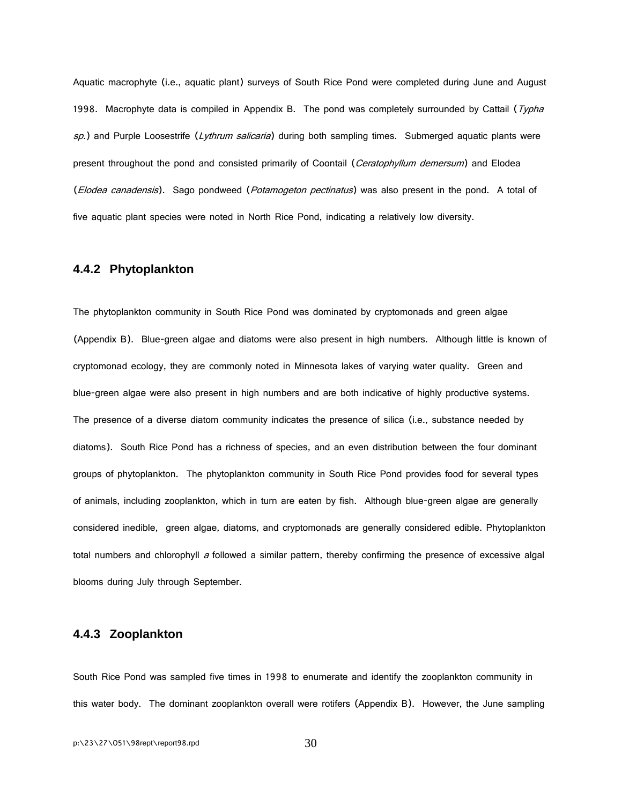Aquatic macrophyte (i.e., aquatic plant) surveys of South Rice Pond were completed during June and August 1998. Macrophyte data is compiled in Appendix B. The pond was completely surrounded by Cattail (Typha sp.) and Purple Loosestrife (Lythrum salicaria) during both sampling times. Submerged aquatic plants were present throughout the pond and consisted primarily of Coontail (Ceratophyllum demersum) and Elodea (Elodea canadensis). Sago pondweed (Potamogeton pectinatus) was also present in the pond. A total of five aquatic plant species were noted in North Rice Pond, indicating a relatively low diversity.

#### **4.4.2 Phytoplankton**

The phytoplankton community in South Rice Pond was dominated by cryptomonads and green algae (Appendix B). Blue-green algae and diatoms were also present in high numbers. Although little is known of cryptomonad ecology, they are commonly noted in Minnesota lakes of varying water quality. Green and blue-green algae were also present in high numbers and are both indicative of highly productive systems. The presence of a diverse diatom community indicates the presence of silica (i.e., substance needed by diatoms). South Rice Pond has a richness of species, and an even distribution between the four dominant groups of phytoplankton. The phytoplankton community in South Rice Pond provides food for several types of animals, including zooplankton, which in turn are eaten by fish. Although blue-green algae are generally considered inedible, green algae, diatoms, and cryptomonads are generally considered edible. Phytoplankton total numbers and chlorophyll a followed a similar pattern, thereby confirming the presence of excessive algal blooms during July through September.

#### **4.4.3 Zooplankton**

South Rice Pond was sampled five times in 1998 to enumerate and identify the zooplankton community in this water body. The dominant zooplankton overall were rotifers (Appendix B). However, the June sampling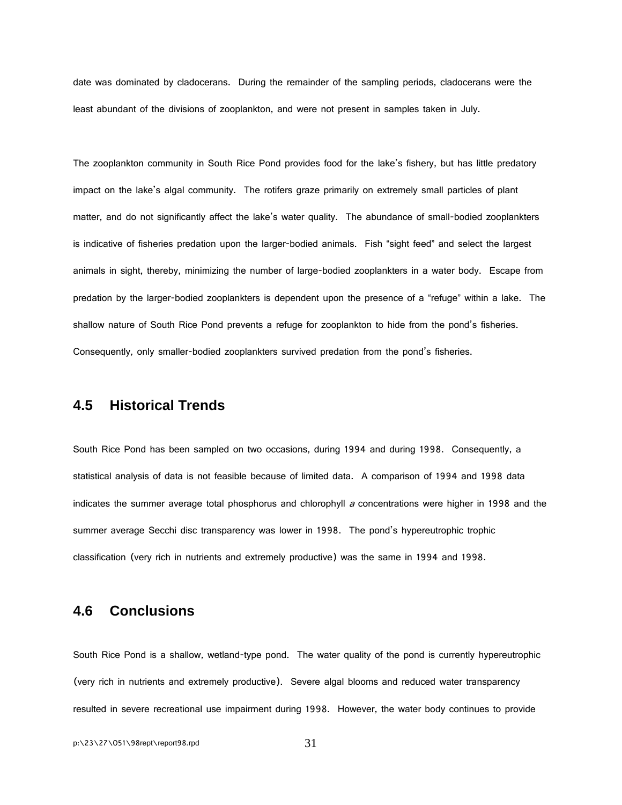date was dominated by cladocerans. During the remainder of the sampling periods, cladocerans were the least abundant of the divisions of zooplankton, and were not present in samples taken in July.

The zooplankton community in South Rice Pond provides food for the lake's fishery, but has little predatory impact on the lake's algal community. The rotifers graze primarily on extremely small particles of plant matter, and do not significantly affect the lake's water quality. The abundance of small-bodied zooplankters is indicative of fisheries predation upon the larger-bodied animals. Fish "sight feed" and select the largest animals in sight, thereby, minimizing the number of large-bodied zooplankters in a water body. Escape from predation by the larger-bodied zooplankters is dependent upon the presence of a "refuge" within a lake. The shallow nature of South Rice Pond prevents a refuge for zooplankton to hide from the pond's fisheries. Consequently, only smaller-bodied zooplankters survived predation from the pond's fisheries.

### **4.5 Historical Trends**

South Rice Pond has been sampled on two occasions, during 1994 and during 1998. Consequently, a statistical analysis of data is not feasible because of limited data. A comparison of 1994 and 1998 data indicates the summer average total phosphorus and chlorophyll  $a$  concentrations were higher in 1998 and the summer average Secchi disc transparency was lower in 1998. The pond's hypereutrophic trophic classification (very rich in nutrients and extremely productive) was the same in 1994 and 1998.

#### **4.6 Conclusions**

South Rice Pond is a shallow, wetland-type pond. The water quality of the pond is currently hypereutrophic (very rich in nutrients and extremely productive). Severe algal blooms and reduced water transparency resulted in severe recreational use impairment during 1998. However, the water body continues to provide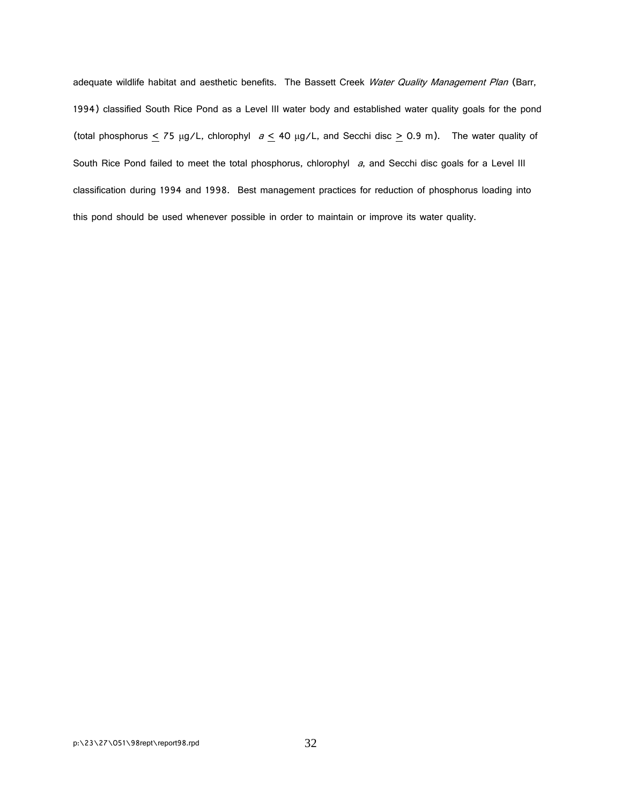adequate wildlife habitat and aesthetic benefits. The Bassett Creek Water Quality Management Plan (Barr, 1994) classified South Rice Pond as a Level III water body and established water quality goals for the pond (total phosphorus  $\leq$  75  $\mu$ g/L, chlorophyl  $a \leq 40 \mu$ g/L, and Secchi disc  $\geq$  0.9 m). The water quality of South Rice Pond failed to meet the total phosphorus, chlorophyl a, and Secchi disc goals for a Level III classification during 1994 and 1998. Best management practices for reduction of phosphorus loading into this pond should be used whenever possible in order to maintain or improve its water quality.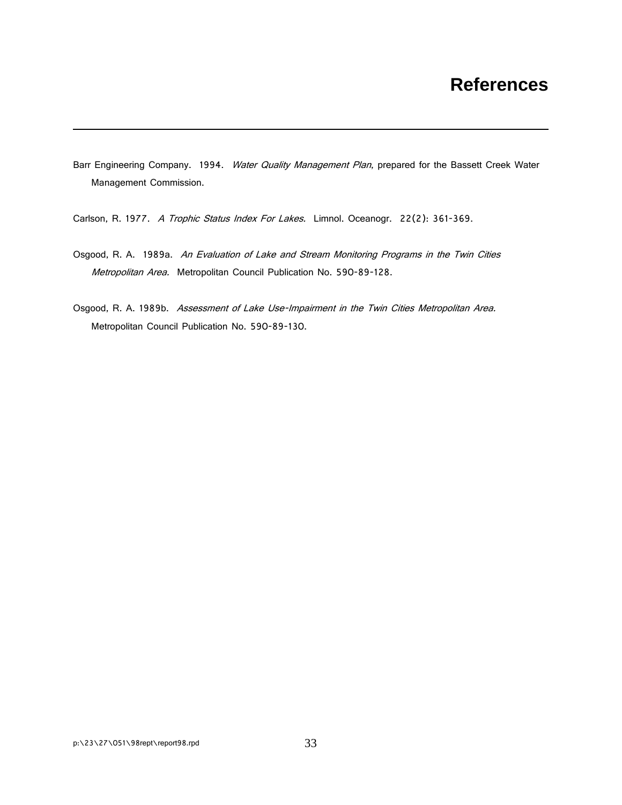## **References**

- Barr Engineering Company. 1994. Water Quality Management Plan, prepared for the Bassett Creek Water Management Commission.
- Carlson, R. 1977. A Trophic Status Index For Lakes. Limnol. Oceanogr. 22(2): 361-369.
- Osgood, R. A. 1989a. An Evaluation of Lake and Stream Monitoring Programs in the Twin Cities Metropolitan Area. Metropolitan Council Publication No. 590-89-128.
- Osgood, R. A. 1989b. Assessment of Lake Use-Impairment in the Twin Cities Metropolitan Area. Metropolitan Council Publication No. 590-89-130.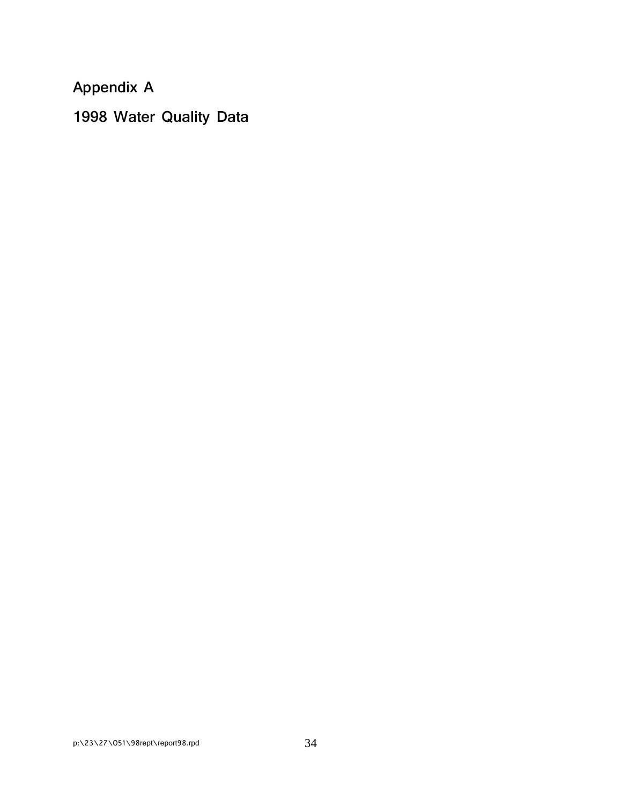**Appendix A**

**1998 Water Quality Data**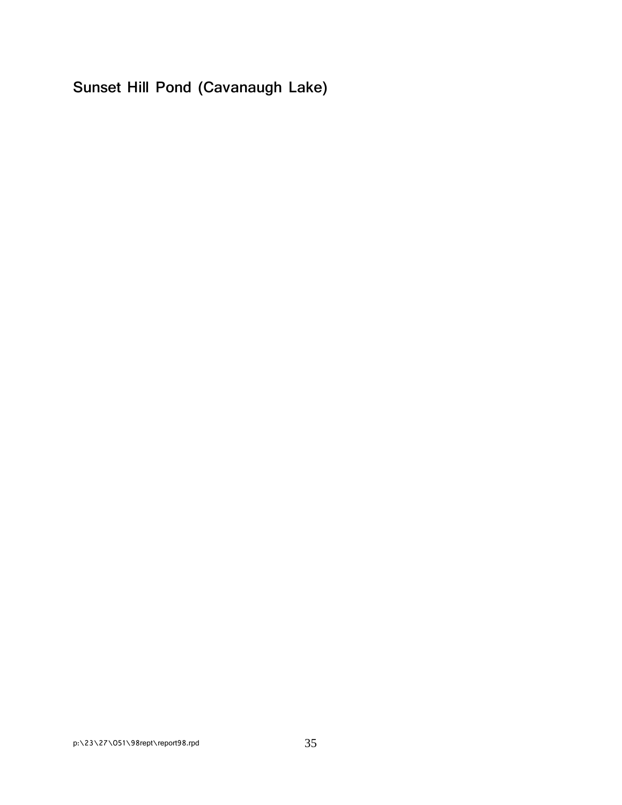**Sunset Hill Pond (Cavanaugh Lake)**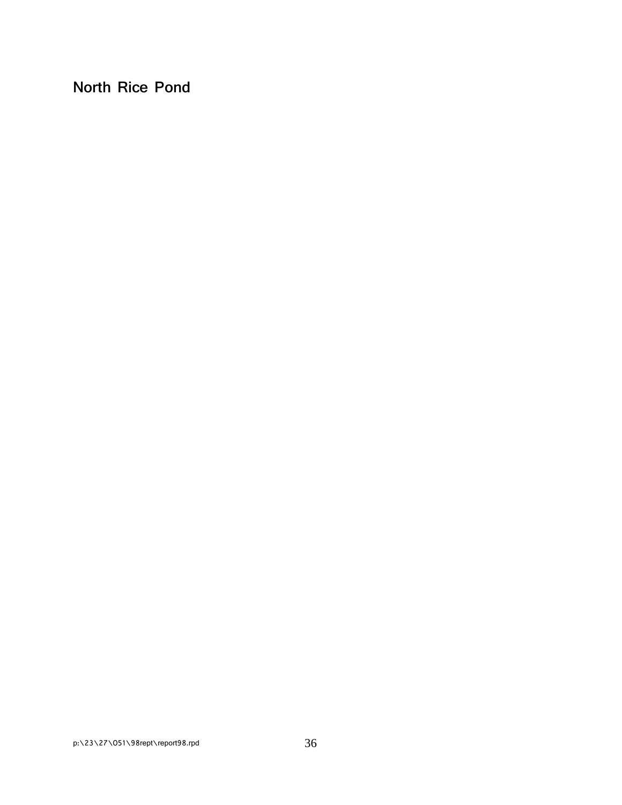**North Rice Pond**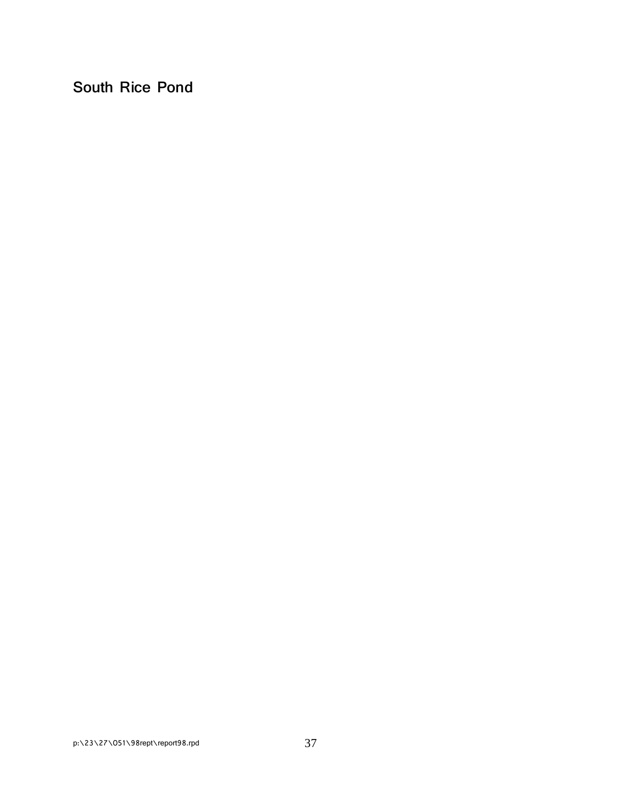**South Rice Pond**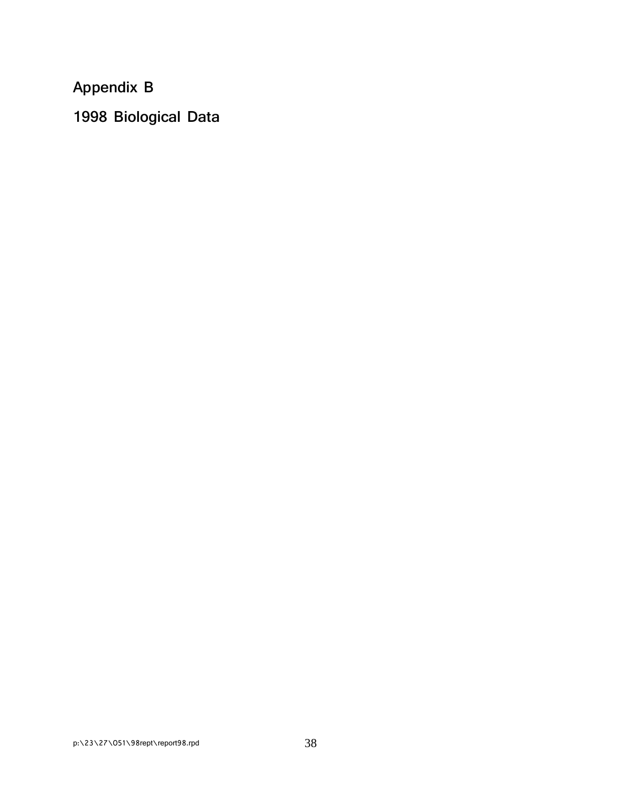**Appendix B**

**1998 Biological Data**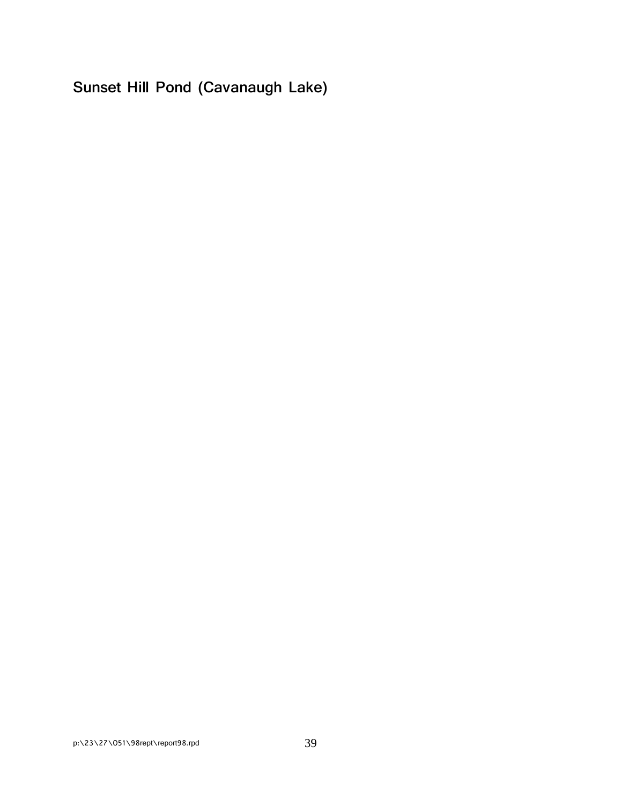**Sunset Hill Pond (Cavanaugh Lake)**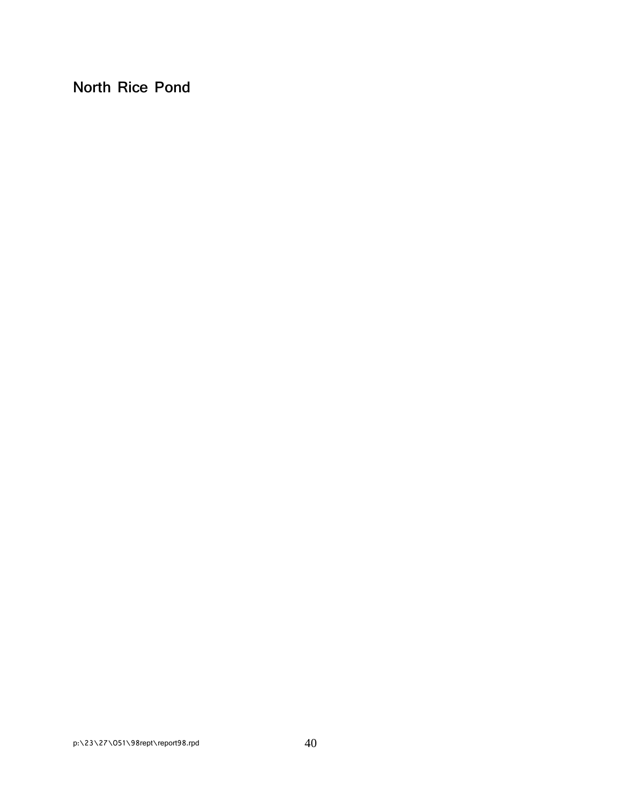**North Rice Pond**